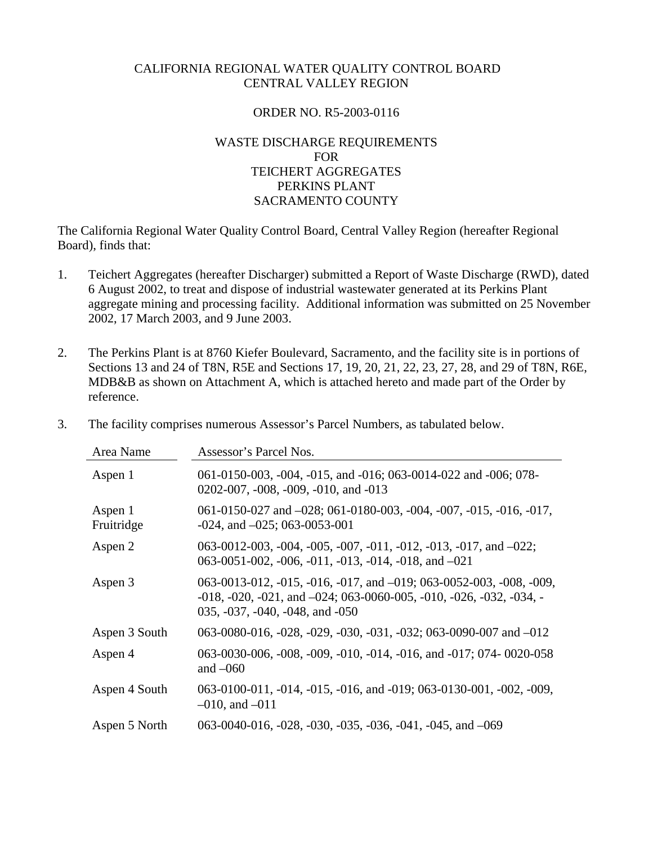## CALIFORNIA REGIONAL WATER QUALITY CONTROL BOARD CENTRAL VALLEY REGION

## ORDER NO. R5-2003-0116

## WASTE DISCHARGE REQUIREMENTS FOR TEICHERT AGGREGATES PERKINS PLANT SACRAMENTO COUNTY

The California Regional Water Quality Control Board, Central Valley Region (hereafter Regional Board), finds that:

- 1. Teichert Aggregates (hereafter Discharger) submitted a Report of Waste Discharge (RWD), dated 6 August 2002, to treat and dispose of industrial wastewater generated at its Perkins Plant aggregate mining and processing facility. Additional information was submitted on 25 November 2002, 17 March 2003, and 9 June 2003.
- 2. The Perkins Plant is at 8760 Kiefer Boulevard, Sacramento, and the facility site is in portions of Sections 13 and 24 of T8N, R5E and Sections 17, 19, 20, 21, 22, 23, 27, 28, and 29 of T8N, R6E, MDB&B as shown on Attachment A, which is attached hereto and made part of the Order by reference.
- 3. The facility comprises numerous Assessor's Parcel Numbers, as tabulated below.

| Area Name             | Assessor's Parcel Nos.                                                                                                                                                                                            |
|-----------------------|-------------------------------------------------------------------------------------------------------------------------------------------------------------------------------------------------------------------|
| Aspen 1               | 061-0150-003, -004, -015, and -016; 063-0014-022 and -006; 078-<br>$0202-007$ , $-008$ , $-009$ , $-010$ , and $-013$                                                                                             |
| Aspen 1<br>Fruitridge | 061-0150-027 and -028; 061-0180-003, -004, -007, -015, -016, -017,<br>$-024$ , and $-025$ ; 063 $-0053$ $-001$                                                                                                    |
| Aspen 2               | 063-0012-003, -004, -005, -007, -011, -012, -013, -017, and $-022$ ;<br>063-0051-002, -006, -011, -013, -014, -018, and $-021$                                                                                    |
| Aspen 3               | 063-0013-012, -015, -016, -017, and -019; 063-0052-003, -008, -009,<br>$-018$ , $-020$ , $-021$ , and $-024$ ; 063 $-0060$ $-005$ , $-010$ , $-026$ , $-032$ , $-034$ , $-032$<br>035, -037, -040, -048, and -050 |
| Aspen 3 South         | 063-0080-016, -028, -029, -030, -031, -032; 063-0090-007 and -012                                                                                                                                                 |
| Aspen 4               | 063-0030-006, -008, -009, -010, -014, -016, and -017; 074- 0020-058<br>and $-060$                                                                                                                                 |
| Aspen 4 South         | 063-0100-011, -014, -015, -016, and -019; 063-0130-001, -002, -009,<br>$-010$ , and $-011$                                                                                                                        |
| Aspen 5 North         | 063-0040-016, $-028$ , $-030$ , $-035$ , $-036$ , $-041$ , $-045$ , and $-069$                                                                                                                                    |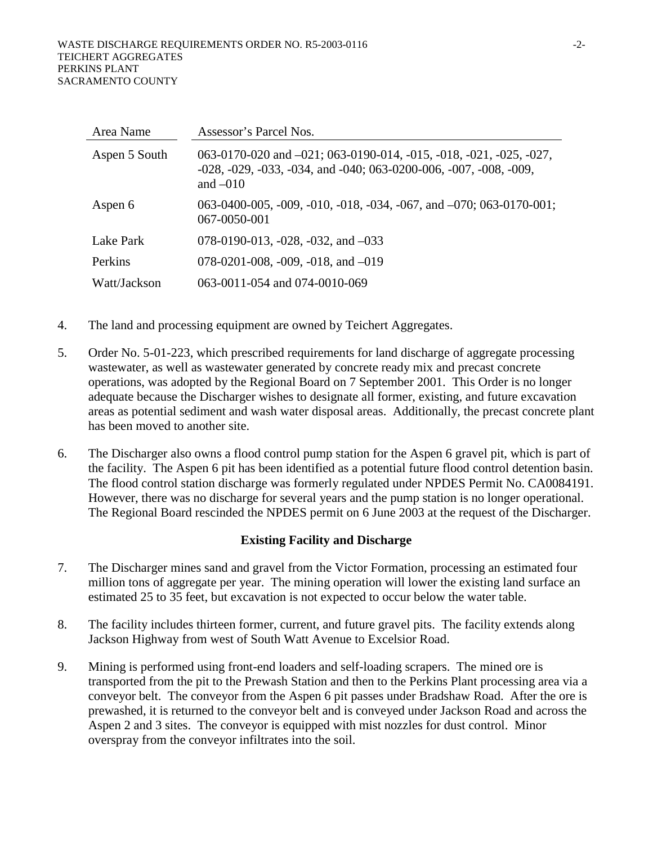| Area Name     | Assessor's Parcel Nos.                                                                                                                                                              |
|---------------|-------------------------------------------------------------------------------------------------------------------------------------------------------------------------------------|
| Aspen 5 South | 063-0170-020 and $-021$ ; 063-0190-014, -015, -018, -021, -025, -027,<br>$-028$ , $-029$ , $-033$ , $-034$ , and $-040$ ; $063-0200-006$ , $-007$ , $-008$ , $-009$ ,<br>and $-010$ |
| Aspen 6       | 063-0400-005, -009, -010, -018, -034, -067, and $-070$ ; 063-0170-001;<br>067-0050-001                                                                                              |
| Lake Park     | 078-0190-013, -028, -032, and $-033$                                                                                                                                                |
| Perkins       | 078-0201-008, -009, -018, and $-019$                                                                                                                                                |
| Watt/Jackson  | 063-0011-054 and 074-0010-069                                                                                                                                                       |

- 4. The land and processing equipment are owned by Teichert Aggregates.
- 5. Order No. 5-01-223, which prescribed requirements for land discharge of aggregate processing wastewater, as well as wastewater generated by concrete ready mix and precast concrete operations, was adopted by the Regional Board on 7 September 2001. This Order is no longer adequate because the Discharger wishes to designate all former, existing, and future excavation areas as potential sediment and wash water disposal areas. Additionally, the precast concrete plant has been moved to another site.
- 6. The Discharger also owns a flood control pump station for the Aspen 6 gravel pit, which is part of the facility. The Aspen 6 pit has been identified as a potential future flood control detention basin. The flood control station discharge was formerly regulated under NPDES Permit No. CA0084191. However, there was no discharge for several years and the pump station is no longer operational. The Regional Board rescinded the NPDES permit on 6 June 2003 at the request of the Discharger.

## **Existing Facility and Discharge**

- 7. The Discharger mines sand and gravel from the Victor Formation, processing an estimated four million tons of aggregate per year. The mining operation will lower the existing land surface an estimated 25 to 35 feet, but excavation is not expected to occur below the water table.
- 8. The facility includes thirteen former, current, and future gravel pits. The facility extends along Jackson Highway from west of South Watt Avenue to Excelsior Road.
- 9. Mining is performed using front-end loaders and self-loading scrapers. The mined ore is transported from the pit to the Prewash Station and then to the Perkins Plant processing area via a conveyor belt. The conveyor from the Aspen 6 pit passes under Bradshaw Road. After the ore is prewashed, it is returned to the conveyor belt and is conveyed under Jackson Road and across the Aspen 2 and 3 sites. The conveyor is equipped with mist nozzles for dust control. Minor overspray from the conveyor infiltrates into the soil.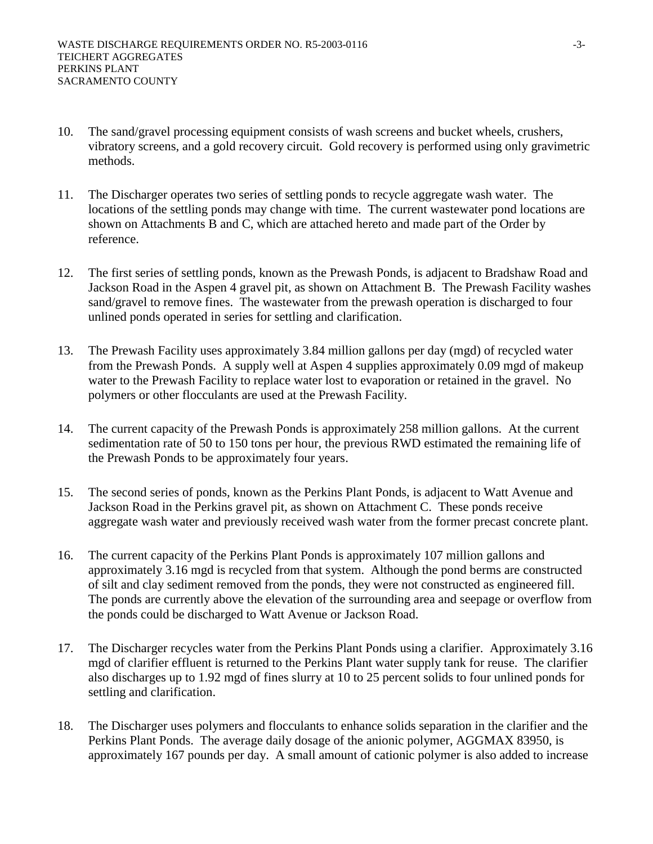- 10. The sand/gravel processing equipment consists of wash screens and bucket wheels, crushers, vibratory screens, and a gold recovery circuit. Gold recovery is performed using only gravimetric methods.
- 11. The Discharger operates two series of settling ponds to recycle aggregate wash water. The locations of the settling ponds may change with time. The current wastewater pond locations are shown on Attachments B and C, which are attached hereto and made part of the Order by reference.
- 12. The first series of settling ponds, known as the Prewash Ponds, is adjacent to Bradshaw Road and Jackson Road in the Aspen 4 gravel pit, as shown on Attachment B. The Prewash Facility washes sand/gravel to remove fines. The wastewater from the prewash operation is discharged to four unlined ponds operated in series for settling and clarification.
- 13. The Prewash Facility uses approximately 3.84 million gallons per day (mgd) of recycled water from the Prewash Ponds. A supply well at Aspen 4 supplies approximately 0.09 mgd of makeup water to the Prewash Facility to replace water lost to evaporation or retained in the gravel. No polymers or other flocculants are used at the Prewash Facility.
- 14. The current capacity of the Prewash Ponds is approximately 258 million gallons. At the current sedimentation rate of 50 to 150 tons per hour, the previous RWD estimated the remaining life of the Prewash Ponds to be approximately four years.
- 15. The second series of ponds, known as the Perkins Plant Ponds, is adjacent to Watt Avenue and Jackson Road in the Perkins gravel pit, as shown on Attachment C. These ponds receive aggregate wash water and previously received wash water from the former precast concrete plant.
- 16. The current capacity of the Perkins Plant Ponds is approximately 107 million gallons and approximately 3.16 mgd is recycled from that system. Although the pond berms are constructed of silt and clay sediment removed from the ponds, they were not constructed as engineered fill. The ponds are currently above the elevation of the surrounding area and seepage or overflow from the ponds could be discharged to Watt Avenue or Jackson Road.
- 17. The Discharger recycles water from the Perkins Plant Ponds using a clarifier. Approximately 3.16 mgd of clarifier effluent is returned to the Perkins Plant water supply tank for reuse. The clarifier also discharges up to 1.92 mgd of fines slurry at 10 to 25 percent solids to four unlined ponds for settling and clarification.
- 18. The Discharger uses polymers and flocculants to enhance solids separation in the clarifier and the Perkins Plant Ponds. The average daily dosage of the anionic polymer, AGGMAX 83950, is approximately 167 pounds per day. A small amount of cationic polymer is also added to increase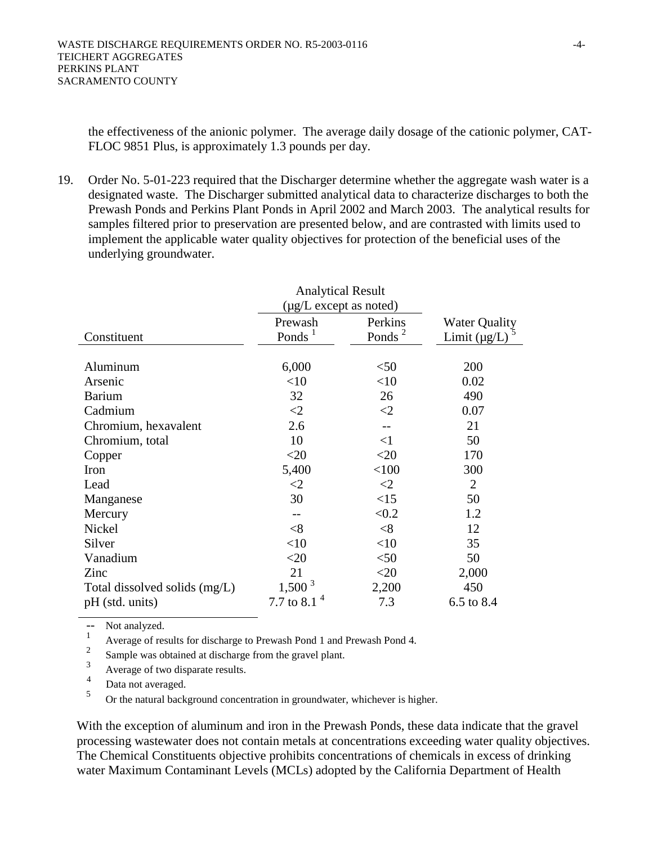the effectiveness of the anionic polymer. The average daily dosage of the cationic polymer, CAT-FLOC 9851 Plus, is approximately 1.3 pounds per day.

19. Order No. 5-01-223 required that the Discharger determine whether the aggregate wash water is a designated waste. The Discharger submitted analytical data to characterize discharges to both the Prewash Ponds and Perkins Plant Ponds in April 2002 and March 2003. The analytical results for samples filtered prior to preservation are presented below, and are contrasted with limits used to implement the applicable water quality objectives for protection of the beneficial uses of the underlying groundwater.

|                               | <b>Analytical Result</b>    |                    |                      |
|-------------------------------|-----------------------------|--------------------|----------------------|
|                               | $(\mu g/L$ except as noted) |                    |                      |
|                               | Prewash                     | Perkins            | <b>Water Quality</b> |
| Constituent                   | Ponds $1$                   | Ponds <sup>2</sup> | Limit $(\mu g/L)$    |
|                               |                             |                    |                      |
| Aluminum                      | 6,000                       | $50$               | 200                  |
| Arsenic                       | $<$ 10                      | $<$ 10             | 0.02                 |
| <b>Barium</b>                 | 32                          | 26                 | 490                  |
| Cadmium                       | $\leq$ 2                    | $\leq$ 2           | 0.07                 |
| Chromium, hexavalent          | 2.6                         |                    | 21                   |
| Chromium, total               | 10                          | $\leq$ 1           | 50                   |
| Copper                        | $<$ 20                      | $<$ 20             | 170                  |
| Iron                          | 5,400                       | < 100              | 300                  |
| Lead                          | $<$ 2                       | $\leq$ 2           | $\overline{2}$       |
| Manganese                     | 30                          | <15                | 50                   |
| Mercury                       |                             | < 0.2              | 1.2                  |
| Nickel                        | $<$ 8                       | < 8                | 12                   |
| Silver                        | $<$ 10                      | <10                | 35                   |
| Vanadium                      | $<$ 20                      | $50$               | 50                   |
| Zinc                          | 21                          | $<$ 20             | 2,000                |
| Total dissolved solids (mg/L) | $1,500^3$                   | 2,200              | 450                  |
| pH (std. units)               | 7.7 to 8.1                  | 7.3                | 6.5 to 8.4           |

-- Not analyzed.

 $\frac{1}{2}$  Average of results for discharge to Prewash Pond 1 and Prewash Pond 4.

 $\frac{2}{3}$  Sample was obtained at discharge from the gravel plant.

 $\frac{3}{4}$  Average of two disparate results.

 $\frac{4}{5}$  Data not averaged.

5 Or the natural background concentration in groundwater, whichever is higher.

With the exception of aluminum and iron in the Prewash Ponds, these data indicate that the gravel processing wastewater does not contain metals at concentrations exceeding water quality objectives. The Chemical Constituents objective prohibits concentrations of chemicals in excess of drinking water Maximum Contaminant Levels (MCLs) adopted by the California Department of Health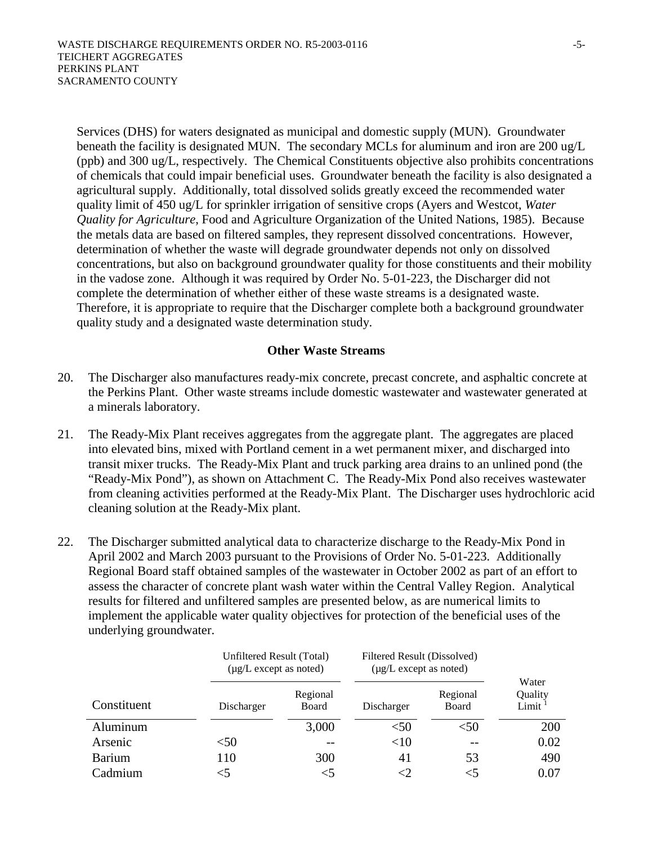Services (DHS) for waters designated as municipal and domestic supply (MUN). Groundwater beneath the facility is designated MUN. The secondary MCLs for aluminum and iron are 200 ug/L (ppb) and 300 ug/L, respectively. The Chemical Constituents objective also prohibits concentrations of chemicals that could impair beneficial uses. Groundwater beneath the facility is also designated a agricultural supply. Additionally, total dissolved solids greatly exceed the recommended water quality limit of 450 ug/L for sprinkler irrigation of sensitive crops (Ayers and Westcot, *Water Quality for Agriculture*, Food and Agriculture Organization of the United Nations, 1985). Because the metals data are based on filtered samples, they represent dissolved concentrations. However, determination of whether the waste will degrade groundwater depends not only on dissolved concentrations, but also on background groundwater quality for those constituents and their mobility in the vadose zone. Although it was required by Order No. 5-01-223, the Discharger did not complete the determination of whether either of these waste streams is a designated waste. Therefore, it is appropriate to require that the Discharger complete both a background groundwater quality study and a designated waste determination study.

## **Other Waste Streams**

- 20. The Discharger also manufactures ready-mix concrete, precast concrete, and asphaltic concrete at the Perkins Plant. Other waste streams include domestic wastewater and wastewater generated at a minerals laboratory.
- 21. The Ready-Mix Plant receives aggregates from the aggregate plant. The aggregates are placed into elevated bins, mixed with Portland cement in a wet permanent mixer, and discharged into transit mixer trucks. The Ready-Mix Plant and truck parking area drains to an unlined pond (the "Ready-Mix Pond"), as shown on Attachment C. The Ready-Mix Pond also receives wastewater from cleaning activities performed at the Ready-Mix Plant. The Discharger uses hydrochloric acid cleaning solution at the Ready-Mix plant.
- 22. The Discharger submitted analytical data to characterize discharge to the Ready-Mix Pond in April 2002 and March 2003 pursuant to the Provisions of Order No. 5-01-223. Additionally Regional Board staff obtained samples of the wastewater in October 2002 as part of an effort to assess the character of concrete plant wash water within the Central Valley Region. Analytical results for filtered and unfiltered samples are presented below, as are numerical limits to implement the applicable water quality objectives for protection of the beneficial uses of the underlying groundwater.

|               |            | Unfiltered Result (Total)<br>$(\mu g/L)$ except as noted) |            | Filtered Result (Dissolved)<br>$(\mu g/L)$ except as noted) |                           |  |
|---------------|------------|-----------------------------------------------------------|------------|-------------------------------------------------------------|---------------------------|--|
| Constituent   | Discharger | Regional<br>Board                                         | Discharger | Regional<br>Board                                           | Water<br>Quality<br>Limit |  |
| Aluminum      |            | 3,000                                                     | < 50       | $<$ 50                                                      | 200                       |  |
| Arsenic       | $50$       |                                                           | <10        | $- -$                                                       | 0.02                      |  |
| <b>Barium</b> | 110        | 300                                                       | 41         | 53                                                          | 490                       |  |
| Cadmium       |            |                                                           |            | $<$ 5                                                       | $0.07\,$                  |  |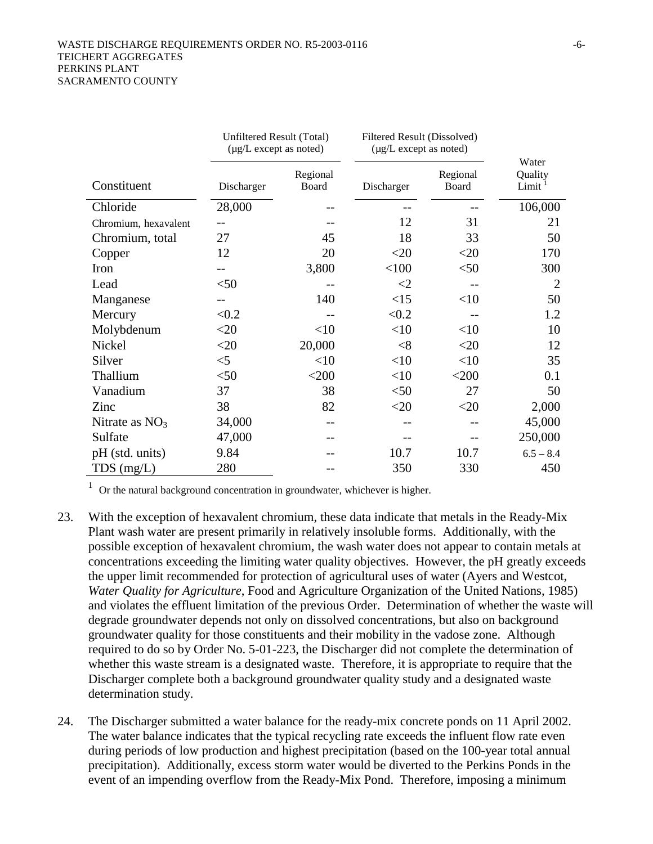|                      | Unfiltered Result (Total)<br>$(\mu g/L)$ except as noted) |                   | Filtered Result (Dissolved)<br>$(\mu g/L)$ except as noted) |                   |                                        |
|----------------------|-----------------------------------------------------------|-------------------|-------------------------------------------------------------|-------------------|----------------------------------------|
| Constituent          | Discharger                                                | Regional<br>Board | Discharger                                                  | Regional<br>Board | Water<br>Quality<br>Limit <sup>1</sup> |
| Chloride             | 28,000                                                    |                   |                                                             |                   | 106,000                                |
| Chromium, hexavalent |                                                           |                   | 12                                                          | 31                | 21                                     |
| Chromium, total      | 27                                                        | 45                | 18                                                          | 33                | 50                                     |
| Copper               | 12                                                        | 20                | $<$ 20                                                      | $<$ 20            | 170                                    |
| Iron                 |                                                           | 3,800             | < 100                                                       | $50$              | 300                                    |
| Lead                 | $<$ 50                                                    |                   | ${<}2$                                                      |                   | $\overline{2}$                         |
| Manganese            |                                                           | 140               | <15                                                         | <10               | 50                                     |
| Mercury              | < 0.2                                                     |                   | < 0.2                                                       |                   | 1.2                                    |
| Molybdenum           | $<$ 20                                                    | <10               | <10                                                         | $<$ 10            | 10                                     |
| Nickel               | $<$ 20                                                    | 20,000            | $<$ 8                                                       | $<$ 20            | 12                                     |
| Silver               | $<$ 5                                                     | <10               | <10                                                         | <10               | 35                                     |
| Thallium             | $50$                                                      | $<$ 200           | <10                                                         | $<$ 200           | 0.1                                    |
| Vanadium             | 37                                                        | 38                | $<$ 50                                                      | 27                | 50                                     |
| Zinc                 | 38                                                        | 82                | $<$ 20                                                      | $<$ 20            | 2,000                                  |
| Nitrate as $NO3$     | 34,000                                                    |                   |                                                             |                   | 45,000                                 |
| Sulfate              | 47,000                                                    |                   |                                                             |                   | 250,000                                |
| pH (std. units)      | 9.84                                                      |                   | 10.7                                                        | 10.7              | $6.5 - 8.4$                            |
| $TDS$ (mg/L)         | 280                                                       |                   | 350                                                         | 330               | 450                                    |

<sup>1</sup> Or the natural background concentration in groundwater, whichever is higher.

- 23. With the exception of hexavalent chromium, these data indicate that metals in the Ready-Mix Plant wash water are present primarily in relatively insoluble forms. Additionally, with the possible exception of hexavalent chromium, the wash water does not appear to contain metals at concentrations exceeding the limiting water quality objectives. However, the pH greatly exceeds the upper limit recommended for protection of agricultural uses of water (Ayers and Westcot, *Water Quality for Agriculture*, Food and Agriculture Organization of the United Nations, 1985) and violates the effluent limitation of the previous Order. Determination of whether the waste will degrade groundwater depends not only on dissolved concentrations, but also on background groundwater quality for those constituents and their mobility in the vadose zone. Although required to do so by Order No. 5-01-223, the Discharger did not complete the determination of whether this waste stream is a designated waste. Therefore, it is appropriate to require that the Discharger complete both a background groundwater quality study and a designated waste determination study.
- 24. The Discharger submitted a water balance for the ready-mix concrete ponds on 11 April 2002. The water balance indicates that the typical recycling rate exceeds the influent flow rate even during periods of low production and highest precipitation (based on the 100-year total annual precipitation). Additionally, excess storm water would be diverted to the Perkins Ponds in the event of an impending overflow from the Ready-Mix Pond. Therefore, imposing a minimum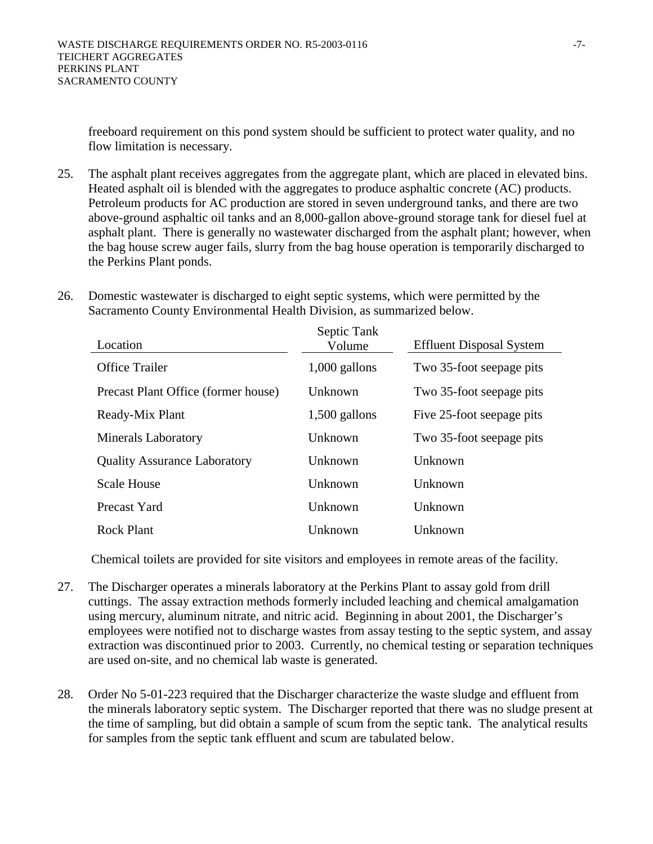freeboard requirement on this pond system should be sufficient to protect water quality, and no flow limitation is necessary.

- 25. The asphalt plant receives aggregates from the aggregate plant, which are placed in elevated bins. Heated asphalt oil is blended with the aggregates to produce asphaltic concrete (AC) products. Petroleum products for AC production are stored in seven underground tanks, and there are two above-ground asphaltic oil tanks and an 8,000-gallon above-ground storage tank for diesel fuel at asphalt plant. There is generally no wastewater discharged from the asphalt plant; however, when the bag house screw auger fails, slurry from the bag house operation is temporarily discharged to the Perkins Plant ponds.
- 26. Domestic wastewater is discharged to eight septic systems, which were permitted by the Sacramento County Environmental Health Division, as summarized below.

| Location                            | Septic Tank<br>Volume | <b>Effluent Disposal System</b> |
|-------------------------------------|-----------------------|---------------------------------|
| <b>Office Trailer</b>               | $1,000$ gallons       | Two 35-foot seepage pits        |
| Precast Plant Office (former house) | <b>Unknown</b>        | Two 35-foot seepage pits        |
| Ready-Mix Plant                     | $1,500$ gallons       | Five 25-foot seepage pits       |
| <b>Minerals Laboratory</b>          | Unknown               | Two 35-foot seepage pits        |
| <b>Quality Assurance Laboratory</b> | <b>Unknown</b>        | Unknown                         |
| <b>Scale House</b>                  | <b>Unknown</b>        | <b>Unknown</b>                  |
| Precast Yard                        | Unknown               | <b>Unknown</b>                  |
| <b>Rock Plant</b>                   | Unknown               | Unknown                         |

Chemical toilets are provided for site visitors and employees in remote areas of the facility.

- 27. The Discharger operates a minerals laboratory at the Perkins Plant to assay gold from drill cuttings. The assay extraction methods formerly included leaching and chemical amalgamation using mercury, aluminum nitrate, and nitric acid. Beginning in about 2001, the Discharger's employees were notified not to discharge wastes from assay testing to the septic system, and assay extraction was discontinued prior to 2003. Currently, no chemical testing or separation techniques are used on-site, and no chemical lab waste is generated.
- 28. Order No 5-01-223 required that the Discharger characterize the waste sludge and effluent from the minerals laboratory septic system. The Discharger reported that there was no sludge present at the time of sampling, but did obtain a sample of scum from the septic tank. The analytical results for samples from the septic tank effluent and scum are tabulated below.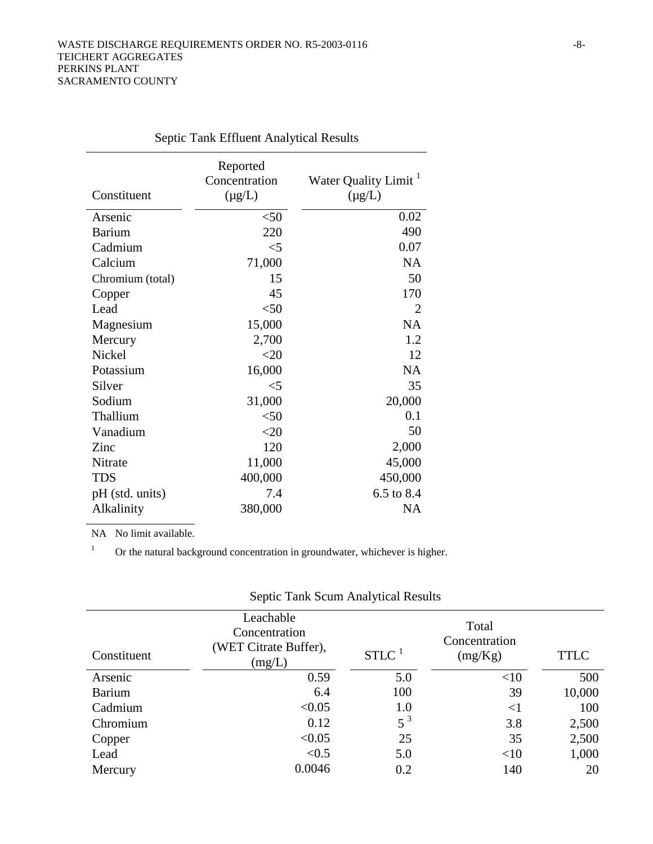| Constituent      | Reported<br>Concentration<br>$(\mu g/L)$ | Water Quality Limit <sup>1</sup><br>$(\mu g/L)$ |
|------------------|------------------------------------------|-------------------------------------------------|
| Arsenic          | $<$ 50                                   | 0.02                                            |
| <b>Barium</b>    | 220                                      | 490                                             |
| Cadmium          | $<$ 5                                    | 0.07                                            |
| Calcium          | 71,000                                   | <b>NA</b>                                       |
| Chromium (total) | 15                                       | 50                                              |
| Copper           | 45                                       | 170                                             |
| Lead             | $50$                                     | 2                                               |
| Magnesium        | 15,000                                   | <b>NA</b>                                       |
| Mercury          | 2,700                                    | 1.2                                             |
| Nickel           | $<$ 20                                   | 12                                              |
| Potassium        | 16,000                                   | <b>NA</b>                                       |
| Silver           | $\leq$ 5                                 | 35                                              |
| Sodium           | 31,000                                   | 20,000                                          |
| Thallium         | $50$                                     | 0.1                                             |
| Vanadium         | $<$ 20                                   | 50                                              |
| Zinc             | 120                                      | 2,000                                           |
| Nitrate          | 11,000                                   | 45,000                                          |
| <b>TDS</b>       | 400,000                                  | 450,000                                         |
| pH (std. units)  | 7.4                                      | 6.5 to 8.4                                      |
| Alkalinity       | 380,000                                  | <b>NA</b>                                       |
|                  |                                          |                                                 |

Septic Tank Effluent Analytical Results

NA No limit available.

<sup>1</sup> Or the natural background concentration in groundwater, whichever is higher.

|               | Leachable<br>Concentration<br>(WET Citrate Buffer), |                     | Total<br>Concentration |             |
|---------------|-----------------------------------------------------|---------------------|------------------------|-------------|
| Constituent   | (mg/L)                                              | $STLC$ <sup>1</sup> | (mg/Kg)                | <b>TTLC</b> |
| Arsenic       | 0.59                                                | 5.0                 | <10                    | 500         |
| <b>Barium</b> | 6.4                                                 | 100                 | 39                     | 10,000      |
| Cadmium       | < 0.05                                              | 1.0                 | ${<}1$                 | 100         |
| Chromium      | 0.12                                                | $5^3$               | 3.8                    | 2,500       |
| Copper        | < 0.05                                              | 25                  | 35                     | 2,500       |
| Lead          | < 0.5                                               | 5.0                 | <10                    | 1,000       |
| Mercury       | 0.0046                                              | 0.2                 | 140                    | 20          |

Septic Tank Scum Analytical Results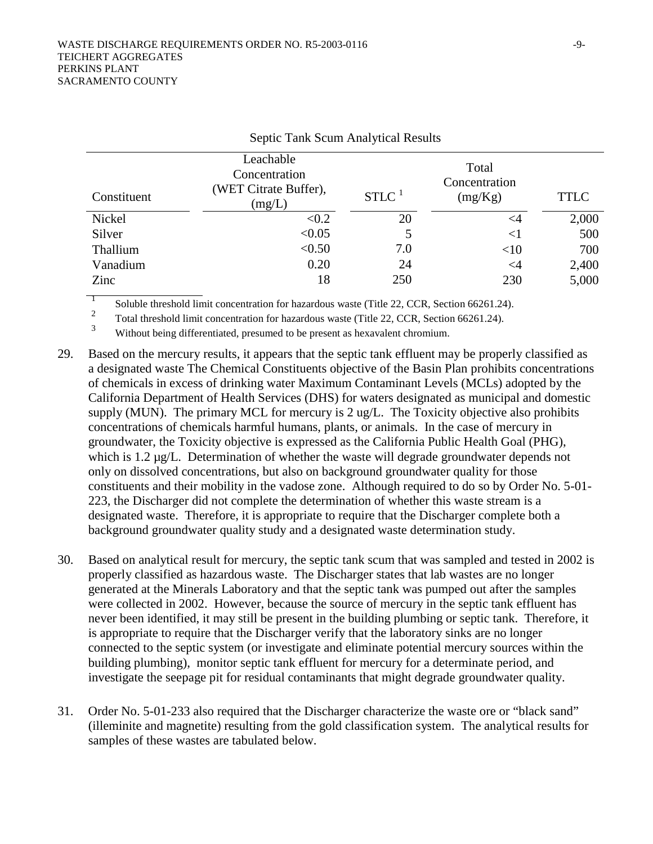| Constituent | Leachable<br>Concentration<br>(WET Citrate Buffer),<br>(mg/L) | $STLC$ <sup>1</sup> | Total<br>Concentration<br>(mg/Kg) | <b>TTLC</b> |
|-------------|---------------------------------------------------------------|---------------------|-----------------------------------|-------------|
| Nickel      | < 0.2                                                         | 20                  | $\leq$ 4                          | 2,000       |
| Silver      | < 0.05                                                        | 5                   | ${<}1$                            | 500         |
| Thallium    | < 0.50                                                        | 7.0                 | <10                               | 700         |
| Vanadium    | 0.20                                                          | 24                  | $\leq$ 4                          | 2,400       |
| Zinc        | 18                                                            | 250                 | 230                               | 5,000       |

#### Septic Tank Scum Analytical Results

<sup>1</sup> Soluble threshold limit concentration for hazardous waste (Title 22, CCR, Section 66261.24).

 $\frac{2}{3}$  Total threshold limit concentration for hazardous waste (Title 22, CCR, Section 66261.24).

Without being differentiated, presumed to be present as hexavalent chromium.

- 29. Based on the mercury results, it appears that the septic tank effluent may be properly classified as a designated waste The Chemical Constituents objective of the Basin Plan prohibits concentrations of chemicals in excess of drinking water Maximum Contaminant Levels (MCLs) adopted by the California Department of Health Services (DHS) for waters designated as municipal and domestic supply (MUN). The primary MCL for mercury is 2 ug/L. The Toxicity objective also prohibits concentrations of chemicals harmful humans, plants, or animals. In the case of mercury in groundwater, the Toxicity objective is expressed as the California Public Health Goal (PHG), which is 1.2  $\mu$ g/L. Determination of whether the waste will degrade groundwater depends not only on dissolved concentrations, but also on background groundwater quality for those constituents and their mobility in the vadose zone. Although required to do so by Order No. 5-01- 223, the Discharger did not complete the determination of whether this waste stream is a designated waste. Therefore, it is appropriate to require that the Discharger complete both a background groundwater quality study and a designated waste determination study.
- 30. Based on analytical result for mercury, the septic tank scum that was sampled and tested in 2002 is properly classified as hazardous waste. The Discharger states that lab wastes are no longer generated at the Minerals Laboratory and that the septic tank was pumped out after the samples were collected in 2002. However, because the source of mercury in the septic tank effluent has never been identified, it may still be present in the building plumbing or septic tank. Therefore, it is appropriate to require that the Discharger verify that the laboratory sinks are no longer connected to the septic system (or investigate and eliminate potential mercury sources within the building plumbing), monitor septic tank effluent for mercury for a determinate period, and investigate the seepage pit for residual contaminants that might degrade groundwater quality.
- 31. Order No. 5-01-233 also required that the Discharger characterize the waste ore or "black sand" (illeminite and magnetite) resulting from the gold classification system. The analytical results for samples of these wastes are tabulated below.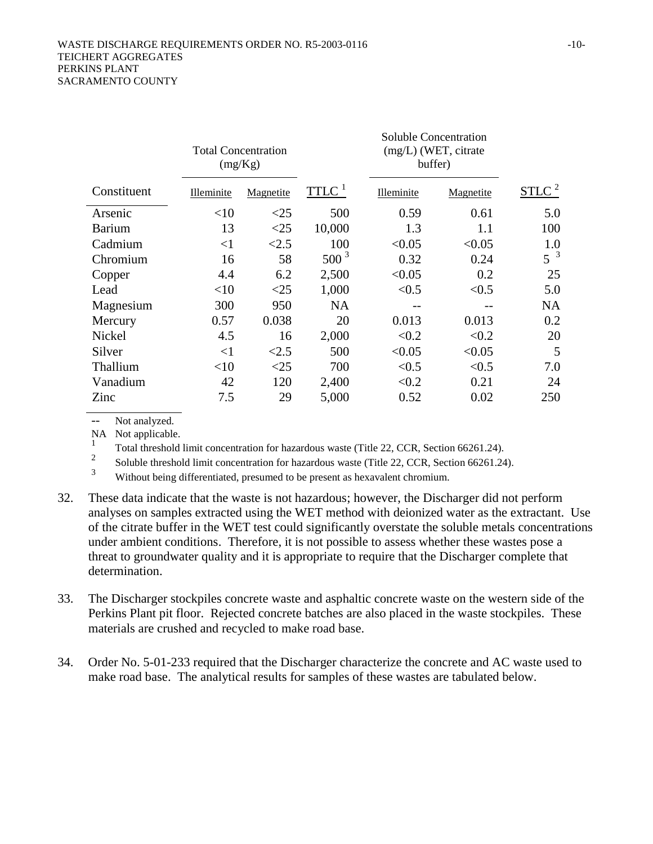|               | <b>Total Concentration</b><br>(mg/Kg) |           |                     |            |           |                   |  | <b>Soluble Concentration</b><br>(mg/L) (WET, citrate<br>buffer) |  |  |
|---------------|---------------------------------------|-----------|---------------------|------------|-----------|-------------------|--|-----------------------------------------------------------------|--|--|
| Constituent   | Illeminite                            | Magnetite | $TTLC$ <sup>1</sup> | Illeminite | Magnetite | STLC <sup>2</sup> |  |                                                                 |  |  |
| Arsenic       | <10                                   | $<$ 25    | 500                 | 0.59       | 0.61      | 5.0               |  |                                                                 |  |  |
| <b>Barium</b> | 13                                    | <25       | 10,000              | 1.3        | 1.1       | 100               |  |                                                                 |  |  |
| Cadmium       | <1                                    | <2.5      | 100                 | < 0.05     | < 0.05    | 1.0               |  |                                                                 |  |  |
| Chromium      | 16                                    | 58        | $500^3$             | 0.32       | 0.24      | $5^{3}$           |  |                                                                 |  |  |
| Copper        | 4.4                                   | 6.2       | 2,500               | < 0.05     | 0.2       | 25                |  |                                                                 |  |  |
| Lead          | <10                                   | $<$ 25    | 1,000               | < 0.5      | < 0.5     | 5.0               |  |                                                                 |  |  |
| Magnesium     | 300                                   | 950       | <b>NA</b>           |            |           | <b>NA</b>         |  |                                                                 |  |  |
| Mercury       | 0.57                                  | 0.038     | 20                  | 0.013      | 0.013     | 0.2               |  |                                                                 |  |  |
| Nickel        | 4.5                                   | 16        | 2,000               | < 0.2      | < 0.2     | 20                |  |                                                                 |  |  |
| Silver        | $\leq$ 1                              | < 2.5     | 500                 | < 0.05     | < 0.05    | 5                 |  |                                                                 |  |  |
| Thallium      | $<$ 10                                | $<$ 25    | 700                 | < 0.5      | < 0.5     | 7.0               |  |                                                                 |  |  |
| Vanadium      | 42                                    | 120       | 2,400               | < 0.2      | 0.21      | 24                |  |                                                                 |  |  |
| Zinc          | 7.5                                   | 29        | 5,000               | 0.52       | 0.02      | 250               |  |                                                                 |  |  |

Not analyzed.

NA Not applicable.

 $\frac{1}{2}$  Total threshold limit concentration for hazardous waste (Title 22, CCR, Section 66261.24).

 $\frac{2}{3}$  Soluble threshold limit concentration for hazardous waste (Title 22, CCR, Section 66261.24).

Without being differentiated, presumed to be present as hexavalent chromium.

- 32. These data indicate that the waste is not hazardous; however, the Discharger did not perform analyses on samples extracted using the WET method with deionized water as the extractant. Use of the citrate buffer in the WET test could significantly overstate the soluble metals concentrations under ambient conditions. Therefore, it is not possible to assess whether these wastes pose a threat to groundwater quality and it is appropriate to require that the Discharger complete that determination.
- 33. The Discharger stockpiles concrete waste and asphaltic concrete waste on the western side of the Perkins Plant pit floor. Rejected concrete batches are also placed in the waste stockpiles. These materials are crushed and recycled to make road base.
- 34. Order No. 5-01-233 required that the Discharger characterize the concrete and AC waste used to make road base. The analytical results for samples of these wastes are tabulated below.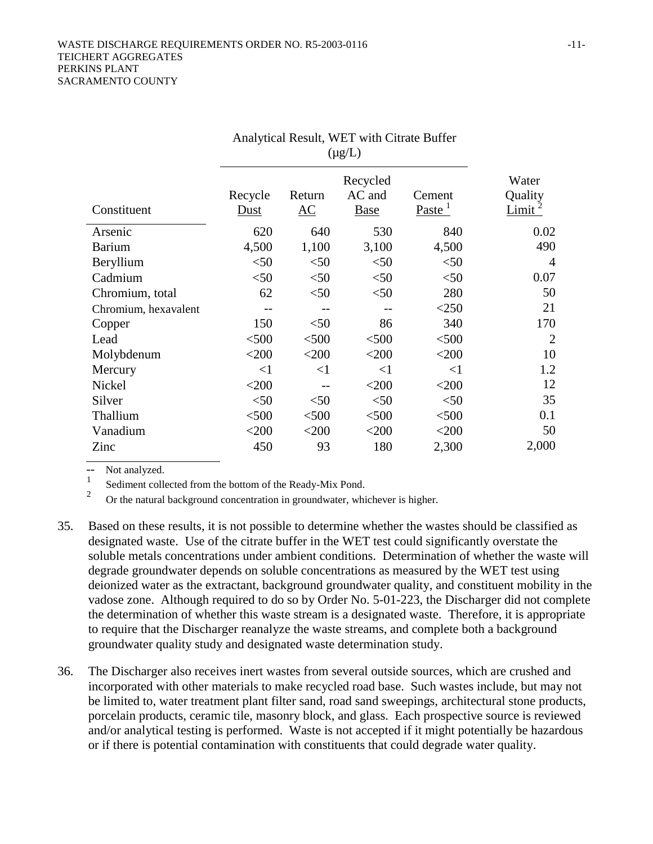|                      | Anarytical Result, WET WHITEHEARD DUITER |         |             |                           |                    |
|----------------------|------------------------------------------|---------|-------------|---------------------------|--------------------|
|                      |                                          | Water   |             |                           |                    |
|                      | Recycle                                  | Return  | AC and      | Cement                    | Quality            |
| Constituent          | Dust                                     | AC      | <b>Base</b> | <u>Paste <sup>1</sup></u> | Limit <sup>-</sup> |
| Arsenic              | 620                                      | 640     | 530         | 840                       | 0.02               |
| <b>Barium</b>        | 4,500                                    | 1,100   | 3,100       | 4,500                     | 490                |
| Beryllium            | $<$ 50                                   | < 50    | < 50        | $<$ 50                    | $\overline{4}$     |
| Cadmium              | $<$ 50                                   | < 50    | < 50        | $50$                      | 0.07               |
| Chromium, total      | 62                                       | < 50    | < 50        | 280                       | 50                 |
| Chromium, hexavalent |                                          |         |             | $<$ 250                   | 21                 |
| Copper               | 150                                      | < 50    | 86          | 340                       | 170                |
| Lead                 | < 500                                    | $<$ 500 | < 500       | $<$ 500                   | $\overline{2}$     |
| Molybdenum           | $<$ 200                                  | $<$ 200 | $<$ 200     | $<$ 200                   | 10                 |
| Mercury              | $<$ 1                                    | $<$ 1   | $<$ 1       | $<$ 1                     | 1.2                |
| Nickel               | $<$ 200                                  |         | $<$ 200     | $<$ 200                   | 12                 |
| Silver               | $<$ 50                                   | < 50    | < 50        | $50$                      | 35                 |
| Thallium             | < 500                                    | < 500   | < 500       | $<$ 500                   | 0.1                |
| Vanadium             | $<$ 200                                  | $<$ 200 | $<$ 200     | $<$ 200                   | 50                 |
| Zinc                 | 450                                      | 93      | 180         | 2,300                     | 2,000              |

Analytical Result, WET with Citrate Buffer

 $\begin{bmatrix} -1 \\ 1 \end{bmatrix}$  Not analyzed.

 $\frac{1}{2}$  Sediment collected from the bottom of the Ready-Mix Pond.

<sup>2</sup> Or the natural background concentration in groundwater, whichever is higher.

- 35. Based on these results, it is not possible to determine whether the wastes should be classified as designated waste. Use of the citrate buffer in the WET test could significantly overstate the soluble metals concentrations under ambient conditions. Determination of whether the waste will degrade groundwater depends on soluble concentrations as measured by the WET test using deionized water as the extractant, background groundwater quality, and constituent mobility in the vadose zone. Although required to do so by Order No. 5-01-223, the Discharger did not complete the determination of whether this waste stream is a designated waste. Therefore, it is appropriate to require that the Discharger reanalyze the waste streams, and complete both a background groundwater quality study and designated waste determination study.
- 36. The Discharger also receives inert wastes from several outside sources, which are crushed and incorporated with other materials to make recycled road base. Such wastes include, but may not be limited to, water treatment plant filter sand, road sand sweepings, architectural stone products, porcelain products, ceramic tile, masonry block, and glass. Each prospective source is reviewed and/or analytical testing is performed. Waste is not accepted if it might potentially be hazardous or if there is potential contamination with constituents that could degrade water quality.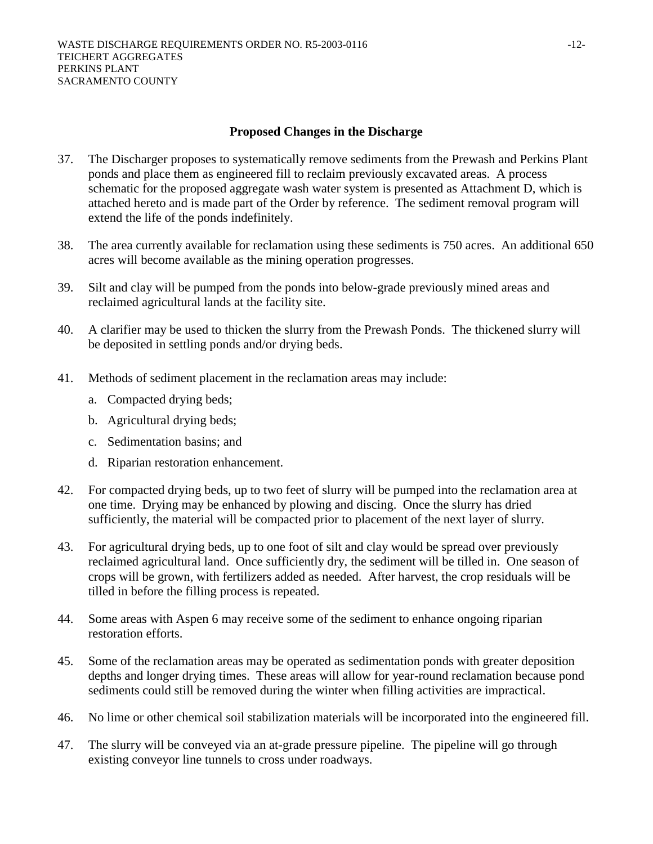#### **Proposed Changes in the Discharge**

- 37. The Discharger proposes to systematically remove sediments from the Prewash and Perkins Plant ponds and place them as engineered fill to reclaim previously excavated areas. A process schematic for the proposed aggregate wash water system is presented as Attachment D, which is attached hereto and is made part of the Order by reference. The sediment removal program will extend the life of the ponds indefinitely.
- 38. The area currently available for reclamation using these sediments is 750 acres. An additional 650 acres will become available as the mining operation progresses.
- 39. Silt and clay will be pumped from the ponds into below-grade previously mined areas and reclaimed agricultural lands at the facility site.
- 40. A clarifier may be used to thicken the slurry from the Prewash Ponds. The thickened slurry will be deposited in settling ponds and/or drying beds.
- 41. Methods of sediment placement in the reclamation areas may include:
	- a. Compacted drying beds;
	- b. Agricultural drying beds;
	- c. Sedimentation basins; and
	- d. Riparian restoration enhancement.
- 42. For compacted drying beds, up to two feet of slurry will be pumped into the reclamation area at one time. Drying may be enhanced by plowing and discing. Once the slurry has dried sufficiently, the material will be compacted prior to placement of the next layer of slurry.
- 43. For agricultural drying beds, up to one foot of silt and clay would be spread over previously reclaimed agricultural land. Once sufficiently dry, the sediment will be tilled in. One season of crops will be grown, with fertilizers added as needed. After harvest, the crop residuals will be tilled in before the filling process is repeated.
- 44. Some areas with Aspen 6 may receive some of the sediment to enhance ongoing riparian restoration efforts.
- 45. Some of the reclamation areas may be operated as sedimentation ponds with greater deposition depths and longer drying times. These areas will allow for year-round reclamation because pond sediments could still be removed during the winter when filling activities are impractical.
- 46. No lime or other chemical soil stabilization materials will be incorporated into the engineered fill.
- 47. The slurry will be conveyed via an at-grade pressure pipeline. The pipeline will go through existing conveyor line tunnels to cross under roadways.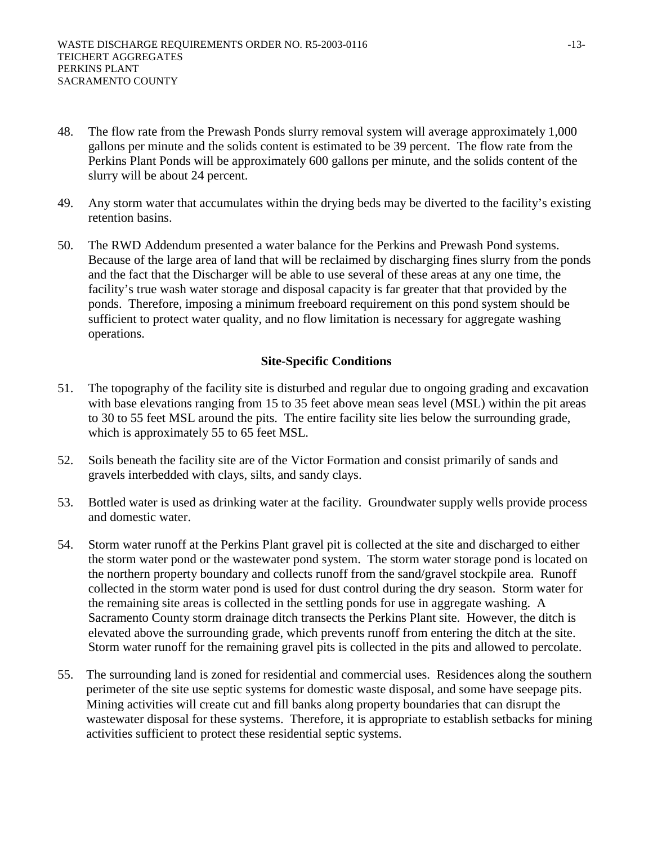- 48. The flow rate from the Prewash Ponds slurry removal system will average approximately 1,000 gallons per minute and the solids content is estimated to be 39 percent. The flow rate from the Perkins Plant Ponds will be approximately 600 gallons per minute, and the solids content of the slurry will be about 24 percent.
- 49. Any storm water that accumulates within the drying beds may be diverted to the facility's existing retention basins.
- 50. The RWD Addendum presented a water balance for the Perkins and Prewash Pond systems. Because of the large area of land that will be reclaimed by discharging fines slurry from the ponds and the fact that the Discharger will be able to use several of these areas at any one time, the facility's true wash water storage and disposal capacity is far greater that that provided by the ponds. Therefore, imposing a minimum freeboard requirement on this pond system should be sufficient to protect water quality, and no flow limitation is necessary for aggregate washing operations.

# **Site-Specific Conditions**

- 51. The topography of the facility site is disturbed and regular due to ongoing grading and excavation with base elevations ranging from 15 to 35 feet above mean seas level (MSL) within the pit areas to 30 to 55 feet MSL around the pits. The entire facility site lies below the surrounding grade, which is approximately 55 to 65 feet MSL.
- 52. Soils beneath the facility site are of the Victor Formation and consist primarily of sands and gravels interbedded with clays, silts, and sandy clays.
- 53. Bottled water is used as drinking water at the facility. Groundwater supply wells provide process and domestic water.
- 54. Storm water runoff at the Perkins Plant gravel pit is collected at the site and discharged to either the storm water pond or the wastewater pond system. The storm water storage pond is located on the northern property boundary and collects runoff from the sand/gravel stockpile area. Runoff collected in the storm water pond is used for dust control during the dry season. Storm water for the remaining site areas is collected in the settling ponds for use in aggregate washing. A Sacramento County storm drainage ditch transects the Perkins Plant site. However, the ditch is elevated above the surrounding grade, which prevents runoff from entering the ditch at the site. Storm water runoff for the remaining gravel pits is collected in the pits and allowed to percolate.
- 55. The surrounding land is zoned for residential and commercial uses. Residences along the southern perimeter of the site use septic systems for domestic waste disposal, and some have seepage pits. Mining activities will create cut and fill banks along property boundaries that can disrupt the wastewater disposal for these systems. Therefore, it is appropriate to establish setbacks for mining activities sufficient to protect these residential septic systems.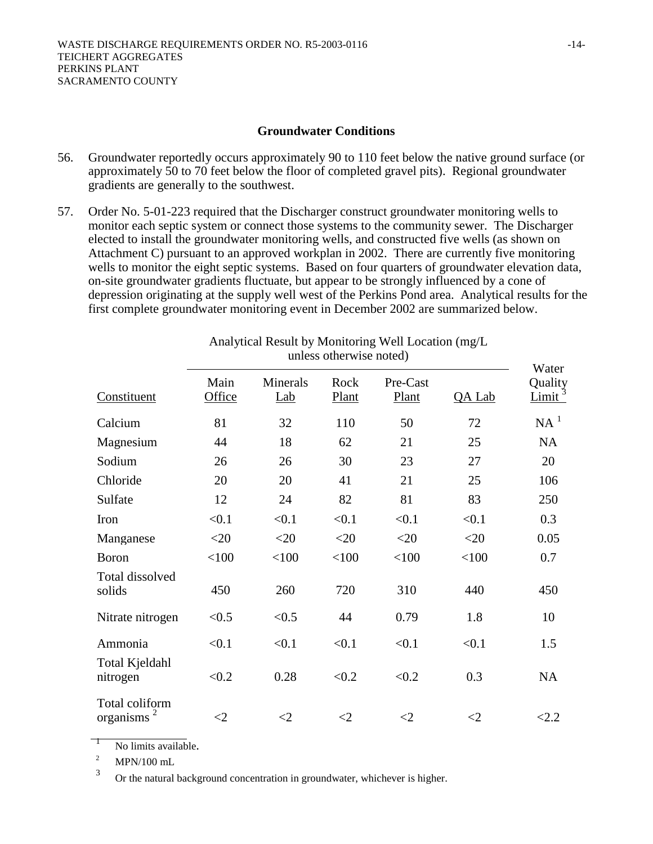#### **Groundwater Conditions**

- 56. Groundwater reportedly occurs approximately 90 to 110 feet below the native ground surface (or approximately 50 to 70 feet below the floor of completed gravel pits). Regional groundwater gradients are generally to the southwest.
- 57. Order No. 5-01-223 required that the Discharger construct groundwater monitoring wells to monitor each septic system or connect those systems to the community sewer. The Discharger elected to install the groundwater monitoring wells, and constructed five wells (as shown on Attachment C) pursuant to an approved workplan in 2002. There are currently five monitoring wells to monitor the eight septic systems. Based on four quarters of groundwater elevation data, on-site groundwater gradients fluctuate, but appear to be strongly influenced by a cone of depression originating at the supply well west of the Perkins Pond area. Analytical results for the first complete groundwater monitoring event in December 2002 are summarized below.

|                                  | uniess otherwise holed) |                 |               |                   |        | Water                               |
|----------------------------------|-------------------------|-----------------|---------------|-------------------|--------|-------------------------------------|
| Constituent                      | Main<br>Office          | Minerals<br>Lab | Rock<br>Plant | Pre-Cast<br>Plant | QA Lab | Quality<br><u>Limit<sup>3</sup></u> |
| Calcium                          | 81                      | 32              | 110           | 50                | 72     | NA <sup>1</sup>                     |
| Magnesium                        | 44                      | 18              | 62            | 21                | 25     | <b>NA</b>                           |
| Sodium                           | 26                      | 26              | 30            | 23                | 27     | 20                                  |
| Chloride                         | 20                      | 20              | 41            | 21                | 25     | 106                                 |
| Sulfate                          | 12                      | 24              | 82            | 81                | 83     | 250                                 |
| Iron                             | < 0.1                   | < 0.1           | < 0.1         | < 0.1             | < 0.1  | 0.3                                 |
| Manganese                        | $<$ 20                  | $<$ 20          | $<$ 20        | $<$ 20            | $<$ 20 | 0.05                                |
| <b>Boron</b>                     | < 100                   | < 100           | < 100         | < 100             | < 100  | 0.7                                 |
| Total dissolved<br>solids        | 450                     | 260             | 720           | 310               | 440    | 450                                 |
| Nitrate nitrogen                 | < 0.5                   | < 0.5           | 44            | 0.79              | 1.8    | 10                                  |
| Ammonia                          | < 0.1                   | < 0.1           | < 0.1         | < 0.1             | < 0.1  | 1.5                                 |
| Total Kjeldahl<br>nitrogen       | < 0.2                   | 0.28            | < 0.2         | < 0.2             | 0.3    | <b>NA</b>                           |
| Total coliform<br>organisms $^2$ | $\leq$ 2                | $<$ 2           | $\leq$ 2      | ${<}2$            | ${<}2$ | <2.2                                |

Analytical Result by Monitoring Well Location (mg/L unless otherwise noted)

 $\frac{1}{2}$  No limits available.

<sup>3</sup> Or the natural background concentration in groundwater, whichever is higher.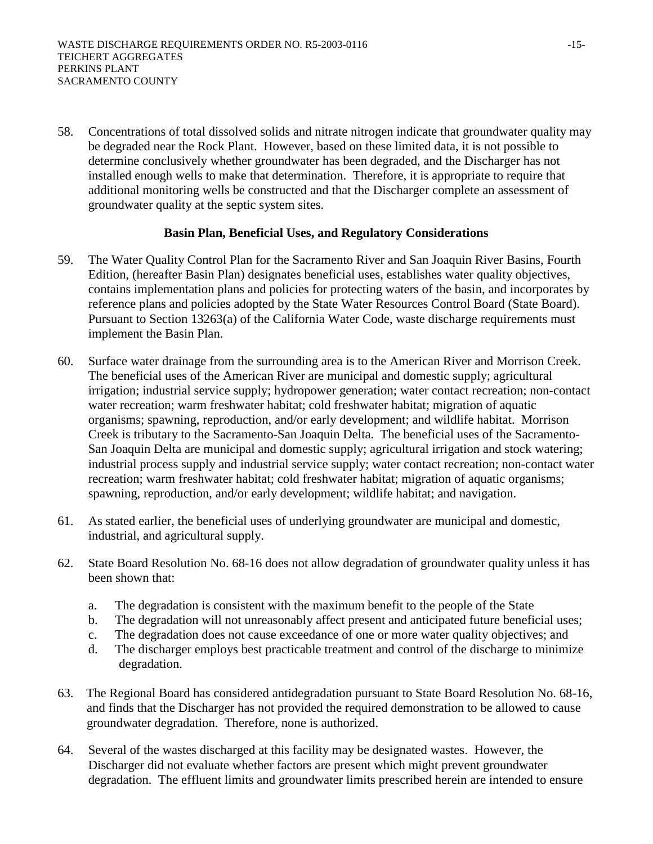58. Concentrations of total dissolved solids and nitrate nitrogen indicate that groundwater quality may be degraded near the Rock Plant. However, based on these limited data, it is not possible to determine conclusively whether groundwater has been degraded, and the Discharger has not installed enough wells to make that determination. Therefore, it is appropriate to require that additional monitoring wells be constructed and that the Discharger complete an assessment of groundwater quality at the septic system sites.

## **Basin Plan, Beneficial Uses, and Regulatory Considerations**

- 59. The Water Quality Control Plan for the Sacramento River and San Joaquin River Basins, Fourth Edition, (hereafter Basin Plan) designates beneficial uses, establishes water quality objectives, contains implementation plans and policies for protecting waters of the basin, and incorporates by reference plans and policies adopted by the State Water Resources Control Board (State Board). Pursuant to Section 13263(a) of the California Water Code, waste discharge requirements must implement the Basin Plan.
- 60. Surface water drainage from the surrounding area is to the American River and Morrison Creek. The beneficial uses of the American River are municipal and domestic supply; agricultural irrigation; industrial service supply; hydropower generation; water contact recreation; non-contact water recreation; warm freshwater habitat; cold freshwater habitat; migration of aquatic organisms; spawning, reproduction, and/or early development; and wildlife habitat. Morrison Creek is tributary to the Sacramento-San Joaquin Delta. The beneficial uses of the Sacramento-San Joaquin Delta are municipal and domestic supply; agricultural irrigation and stock watering; industrial process supply and industrial service supply; water contact recreation; non-contact water recreation; warm freshwater habitat; cold freshwater habitat; migration of aquatic organisms; spawning, reproduction, and/or early development; wildlife habitat; and navigation.
- 61. As stated earlier, the beneficial uses of underlying groundwater are municipal and domestic, industrial, and agricultural supply.
- 62. State Board Resolution No. 68-16 does not allow degradation of groundwater quality unless it has been shown that:
	- a. The degradation is consistent with the maximum benefit to the people of the State
	- b. The degradation will not unreasonably affect present and anticipated future beneficial uses;
	- c. The degradation does not cause exceedance of one or more water quality objectives; and
	- d. The discharger employs best practicable treatment and control of the discharge to minimize degradation.
- 63. The Regional Board has considered antidegradation pursuant to State Board Resolution No. 68-16, and finds that the Discharger has not provided the required demonstration to be allowed to cause groundwater degradation. Therefore, none is authorized.
- 64. Several of the wastes discharged at this facility may be designated wastes. However, the Discharger did not evaluate whether factors are present which might prevent groundwater degradation. The effluent limits and groundwater limits prescribed herein are intended to ensure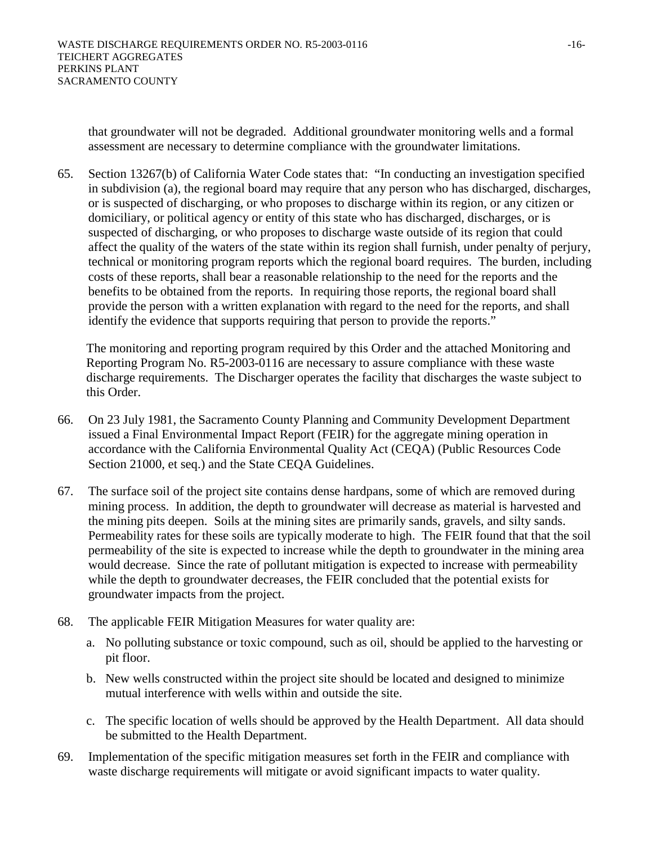that groundwater will not be degraded. Additional groundwater monitoring wells and a formal assessment are necessary to determine compliance with the groundwater limitations.

65. Section 13267(b) of California Water Code states that: "In conducting an investigation specified in subdivision (a), the regional board may require that any person who has discharged, discharges, or is suspected of discharging, or who proposes to discharge within its region, or any citizen or domiciliary, or political agency or entity of this state who has discharged, discharges, or is suspected of discharging, or who proposes to discharge waste outside of its region that could affect the quality of the waters of the state within its region shall furnish, under penalty of perjury, technical or monitoring program reports which the regional board requires. The burden, including costs of these reports, shall bear a reasonable relationship to the need for the reports and the benefits to be obtained from the reports. In requiring those reports, the regional board shall provide the person with a written explanation with regard to the need for the reports, and shall identify the evidence that supports requiring that person to provide the reports."

The monitoring and reporting program required by this Order and the attached Monitoring and Reporting Program No. R5-2003-0116 are necessary to assure compliance with these waste discharge requirements. The Discharger operates the facility that discharges the waste subject to this Order.

- 66. On 23 July 1981, the Sacramento County Planning and Community Development Department issued a Final Environmental Impact Report (FEIR) for the aggregate mining operation in accordance with the California Environmental Quality Act (CEQA) (Public Resources Code Section 21000, et seq.) and the State CEQA Guidelines.
- 67. The surface soil of the project site contains dense hardpans, some of which are removed during mining process. In addition, the depth to groundwater will decrease as material is harvested and the mining pits deepen. Soils at the mining sites are primarily sands, gravels, and silty sands. Permeability rates for these soils are typically moderate to high. The FEIR found that that the soil permeability of the site is expected to increase while the depth to groundwater in the mining area would decrease. Since the rate of pollutant mitigation is expected to increase with permeability while the depth to groundwater decreases, the FEIR concluded that the potential exists for groundwater impacts from the project.
- 68. The applicable FEIR Mitigation Measures for water quality are:
	- a. No polluting substance or toxic compound, such as oil, should be applied to the harvesting or pit floor.
	- b. New wells constructed within the project site should be located and designed to minimize mutual interference with wells within and outside the site.
	- c. The specific location of wells should be approved by the Health Department. All data should be submitted to the Health Department.
- 69. Implementation of the specific mitigation measures set forth in the FEIR and compliance with waste discharge requirements will mitigate or avoid significant impacts to water quality.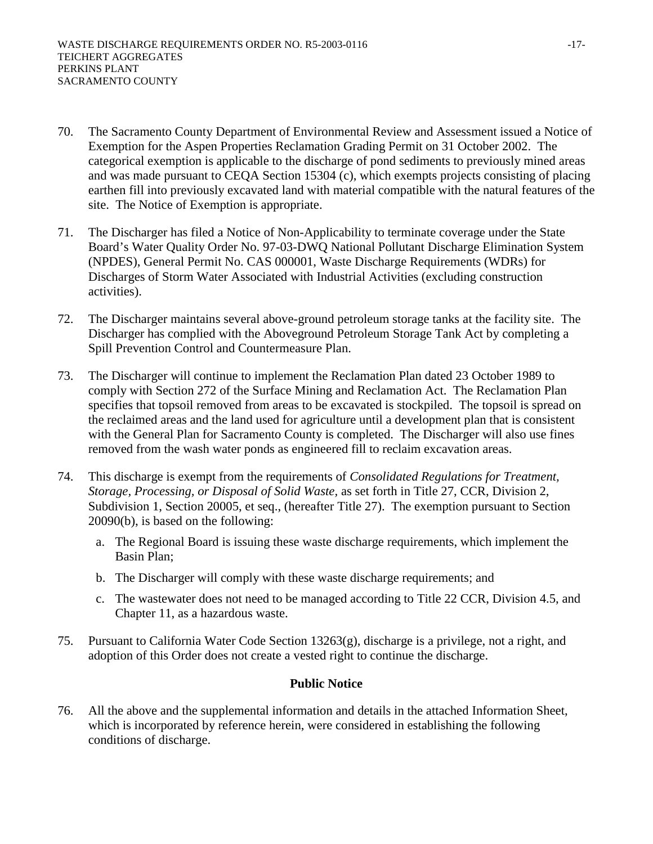- 70. The Sacramento County Department of Environmental Review and Assessment issued a Notice of Exemption for the Aspen Properties Reclamation Grading Permit on 31 October 2002. The categorical exemption is applicable to the discharge of pond sediments to previously mined areas and was made pursuant to CEQA Section 15304 (c), which exempts projects consisting of placing earthen fill into previously excavated land with material compatible with the natural features of the site. The Notice of Exemption is appropriate.
- 71. The Discharger has filed a Notice of Non-Applicability to terminate coverage under the State Board's Water Quality Order No. 97-03-DWQ National Pollutant Discharge Elimination System (NPDES), General Permit No. CAS 000001, Waste Discharge Requirements (WDRs) for Discharges of Storm Water Associated with Industrial Activities (excluding construction activities).
- 72. The Discharger maintains several above-ground petroleum storage tanks at the facility site. The Discharger has complied with the Aboveground Petroleum Storage Tank Act by completing a Spill Prevention Control and Countermeasure Plan.
- 73. The Discharger will continue to implement the Reclamation Plan dated 23 October 1989 to comply with Section 272 of the Surface Mining and Reclamation Act. The Reclamation Plan specifies that topsoil removed from areas to be excavated is stockpiled. The topsoil is spread on the reclaimed areas and the land used for agriculture until a development plan that is consistent with the General Plan for Sacramento County is completed. The Discharger will also use fines removed from the wash water ponds as engineered fill to reclaim excavation areas.
- 74. This discharge is exempt from the requirements of *Consolidated Regulations for Treatment, Storage, Processing, or Disposal of Solid Waste,* as set forth in Title 27, CCR, Division 2, Subdivision 1, Section 20005, et seq., (hereafter Title 27). The exemption pursuant to Section 20090(b), is based on the following:
	- a. The Regional Board is issuing these waste discharge requirements, which implement the Basin Plan;
	- b. The Discharger will comply with these waste discharge requirements; and
	- c. The wastewater does not need to be managed according to Title 22 CCR, Division 4.5, and Chapter 11, as a hazardous waste.
- 75. Pursuant to California Water Code Section 13263(g), discharge is a privilege, not a right, and adoption of this Order does not create a vested right to continue the discharge.

# **Public Notice**

76. All the above and the supplemental information and details in the attached Information Sheet, which is incorporated by reference herein, were considered in establishing the following conditions of discharge.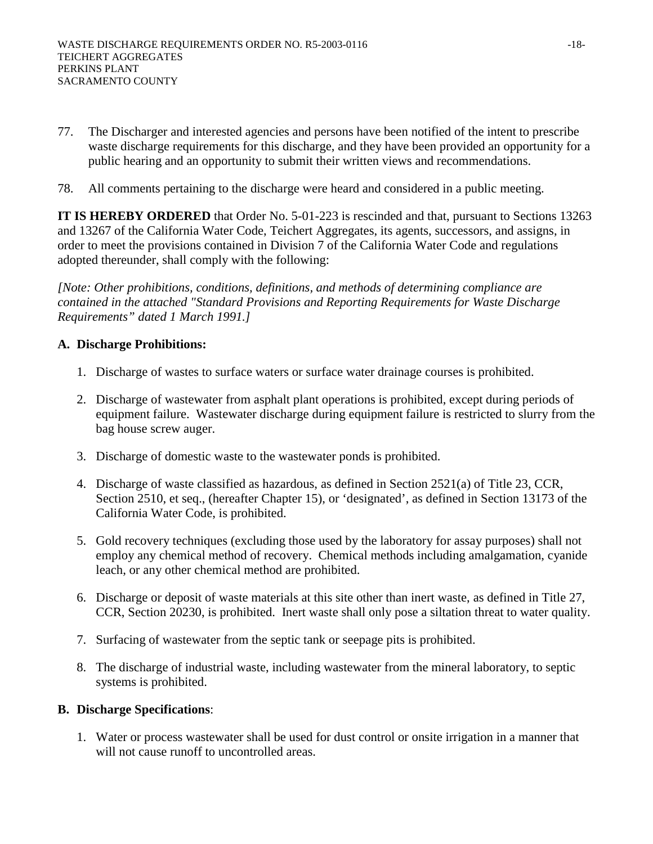- 77. The Discharger and interested agencies and persons have been notified of the intent to prescribe waste discharge requirements for this discharge, and they have been provided an opportunity for a public hearing and an opportunity to submit their written views and recommendations.
- 78. All comments pertaining to the discharge were heard and considered in a public meeting.

**IT IS HEREBY ORDERED** that Order No. 5-01-223 is rescinded and that, pursuant to Sections 13263 and 13267 of the California Water Code, Teichert Aggregates, its agents, successors, and assigns, in order to meet the provisions contained in Division 7 of the California Water Code and regulations adopted thereunder, shall comply with the following:

*[Note: Other prohibitions, conditions, definitions, and methods of determining compliance are contained in the attached "Standard Provisions and Reporting Requirements for Waste Discharge Requirements" dated 1 March 1991.]* 

# **A. Discharge Prohibitions:**

- 1. Discharge of wastes to surface waters or surface water drainage courses is prohibited.
- 2. Discharge of wastewater from asphalt plant operations is prohibited, except during periods of equipment failure. Wastewater discharge during equipment failure is restricted to slurry from the bag house screw auger.
- 3. Discharge of domestic waste to the wastewater ponds is prohibited.
- 4. Discharge of waste classified as hazardous, as defined in Section 2521(a) of Title 23, CCR, Section 2510, et seq., (hereafter Chapter 15), or 'designated', as defined in Section 13173 of the California Water Code, is prohibited.
- 5. Gold recovery techniques (excluding those used by the laboratory for assay purposes) shall not employ any chemical method of recovery. Chemical methods including amalgamation, cyanide leach, or any other chemical method are prohibited.
- 6. Discharge or deposit of waste materials at this site other than inert waste, as defined in Title 27, CCR, Section 20230, is prohibited. Inert waste shall only pose a siltation threat to water quality.
- 7. Surfacing of wastewater from the septic tank or seepage pits is prohibited.
- 8. The discharge of industrial waste, including wastewater from the mineral laboratory, to septic systems is prohibited.

## **B. Discharge Specifications**:

1. Water or process wastewater shall be used for dust control or onsite irrigation in a manner that will not cause runoff to uncontrolled areas.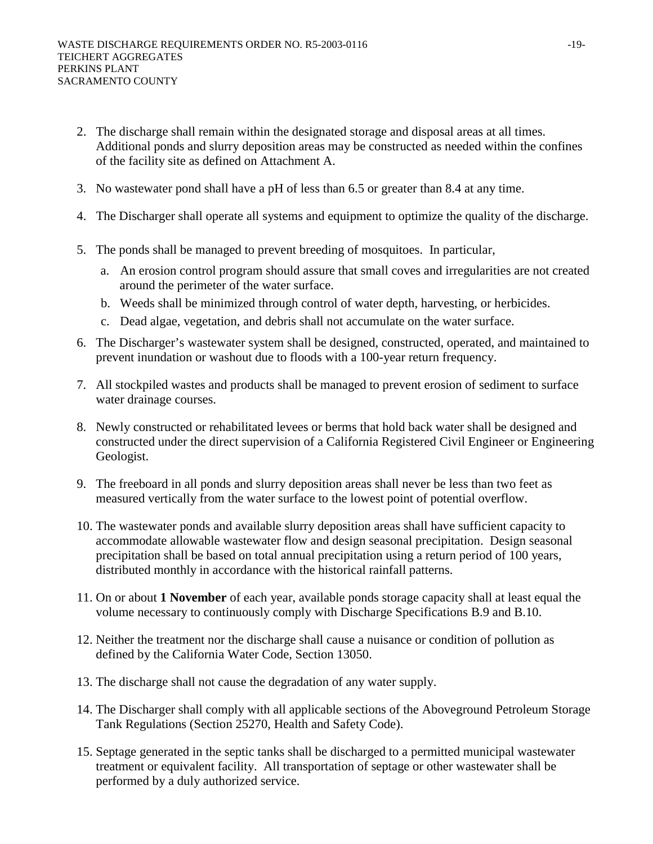- 2. The discharge shall remain within the designated storage and disposal areas at all times. Additional ponds and slurry deposition areas may be constructed as needed within the confines of the facility site as defined on Attachment A.
- 3. No wastewater pond shall have a pH of less than 6.5 or greater than 8.4 at any time.
- 4. The Discharger shall operate all systems and equipment to optimize the quality of the discharge.
- 5. The ponds shall be managed to prevent breeding of mosquitoes. In particular,
	- a. An erosion control program should assure that small coves and irregularities are not created around the perimeter of the water surface.
	- b. Weeds shall be minimized through control of water depth, harvesting, or herbicides.
	- c. Dead algae, vegetation, and debris shall not accumulate on the water surface.
- 6. The Discharger's wastewater system shall be designed, constructed, operated, and maintained to prevent inundation or washout due to floods with a 100-year return frequency.
- 7. All stockpiled wastes and products shall be managed to prevent erosion of sediment to surface water drainage courses.
- 8. Newly constructed or rehabilitated levees or berms that hold back water shall be designed and constructed under the direct supervision of a California Registered Civil Engineer or Engineering Geologist.
- 9. The freeboard in all ponds and slurry deposition areas shall never be less than two feet as measured vertically from the water surface to the lowest point of potential overflow.
- 10. The wastewater ponds and available slurry deposition areas shall have sufficient capacity to accommodate allowable wastewater flow and design seasonal precipitation. Design seasonal precipitation shall be based on total annual precipitation using a return period of 100 years, distributed monthly in accordance with the historical rainfall patterns.
- 11. On or about **1 November** of each year, available ponds storage capacity shall at least equal the volume necessary to continuously comply with Discharge Specifications B.9 and B.10.
- 12. Neither the treatment nor the discharge shall cause a nuisance or condition of pollution as defined by the California Water Code, Section 13050.
- 13. The discharge shall not cause the degradation of any water supply.
- 14. The Discharger shall comply with all applicable sections of the Aboveground Petroleum Storage Tank Regulations (Section 25270, Health and Safety Code).
- 15. Septage generated in the septic tanks shall be discharged to a permitted municipal wastewater treatment or equivalent facility. All transportation of septage or other wastewater shall be performed by a duly authorized service.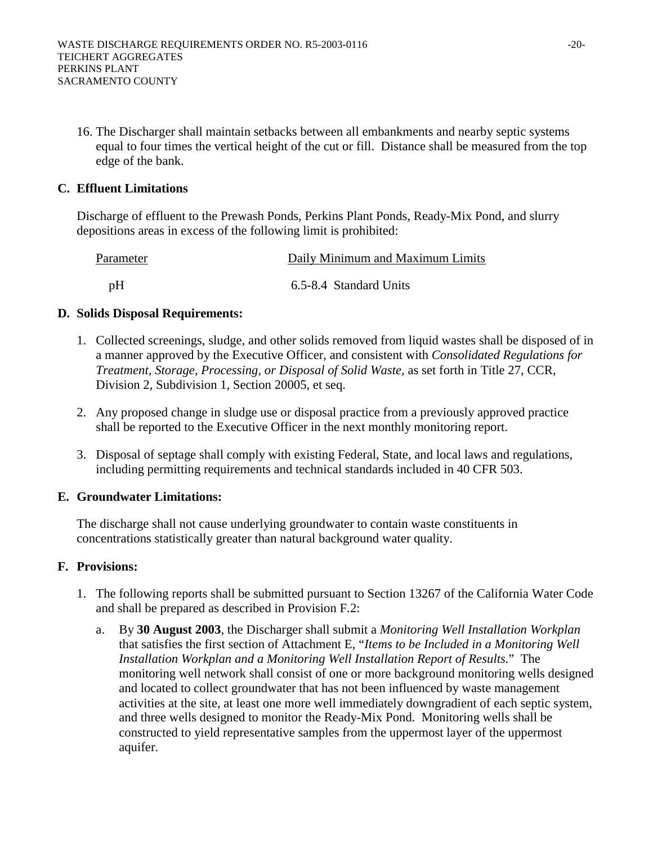16. The Discharger shall maintain setbacks between all embankments and nearby septic systems equal to four times the vertical height of the cut or fill. Distance shall be measured from the top edge of the bank.

## **C. Effluent Limitations**

Discharge of effluent to the Prewash Ponds, Perkins Plant Ponds, Ready-Mix Pond, and slurry depositions areas in excess of the following limit is prohibited:

| Parameter | Daily Minimum and Maximum Limits |
|-----------|----------------------------------|
| pH        | 6.5-8.4 Standard Units           |

# **D. Solids Disposal Requirements:**

- 1. Collected screenings, sludge, and other solids removed from liquid wastes shall be disposed of in a manner approved by the Executive Officer, and consistent with *Consolidated Regulations for Treatment, Storage, Processing, or Disposal of Solid Waste,* as set forth in Title 27, CCR, Division 2, Subdivision 1, Section 20005, et seq.
- 2. Any proposed change in sludge use or disposal practice from a previously approved practice shall be reported to the Executive Officer in the next monthly monitoring report.
- 3. Disposal of septage shall comply with existing Federal, State, and local laws and regulations, including permitting requirements and technical standards included in 40 CFR 503.

## **E. Groundwater Limitations:**

The discharge shall not cause underlying groundwater to contain waste constituents in concentrations statistically greater than natural background water quality.

## **F. Provisions:**

- 1. The following reports shall be submitted pursuant to Section 13267 of the California Water Code and shall be prepared as described in Provision F.2:
	- a. By **30 August 2003**, the Discharger shall submit a *Monitoring Well Installation Workplan* that satisfies the first section of Attachment E, "*Items to be Included in a Monitoring Well Installation Workplan and a Monitoring Well Installation Report of Results*." The monitoring well network shall consist of one or more background monitoring wells designed and located to collect groundwater that has not been influenced by waste management activities at the site, at least one more well immediately downgradient of each septic system, and three wells designed to monitor the Ready-Mix Pond. Monitoring wells shall be constructed to yield representative samples from the uppermost layer of the uppermost aquifer.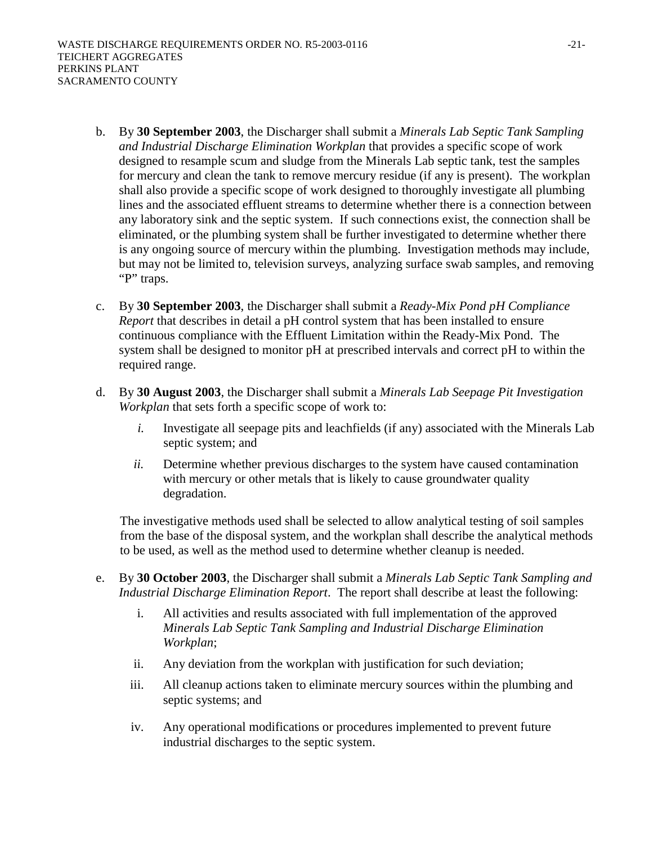- b. By **30 September 2003**, the Discharger shall submit a *Minerals Lab Septic Tank Sampling and Industrial Discharge Elimination Workplan* that provides a specific scope of work designed to resample scum and sludge from the Minerals Lab septic tank, test the samples for mercury and clean the tank to remove mercury residue (if any is present). The workplan shall also provide a specific scope of work designed to thoroughly investigate all plumbing lines and the associated effluent streams to determine whether there is a connection between any laboratory sink and the septic system. If such connections exist, the connection shall be eliminated, or the plumbing system shall be further investigated to determine whether there is any ongoing source of mercury within the plumbing. Investigation methods may include, but may not be limited to, television surveys, analyzing surface swab samples, and removing "P" traps.
- c. By **30 September 2003**, the Discharger shall submit a *Ready-Mix Pond pH Compliance Report* that describes in detail a pH control system that has been installed to ensure continuous compliance with the Effluent Limitation within the Ready-Mix Pond. The system shall be designed to monitor pH at prescribed intervals and correct pH to within the required range.
- d. By **30 August 2003**, the Discharger shall submit a *Minerals Lab Seepage Pit Investigation Workplan* that sets forth a specific scope of work to:
	- *i.* Investigate all seepage pits and leachfields (if any) associated with the Minerals Lab septic system; and
	- *ii.* Determine whether previous discharges to the system have caused contamination with mercury or other metals that is likely to cause groundwater quality degradation.

The investigative methods used shall be selected to allow analytical testing of soil samples from the base of the disposal system, and the workplan shall describe the analytical methods to be used, as well as the method used to determine whether cleanup is needed.

- e. By **30 October 2003**, the Discharger shall submit a *Minerals Lab Septic Tank Sampling and Industrial Discharge Elimination Report*. The report shall describe at least the following:
	- i. All activities and results associated with full implementation of the approved *Minerals Lab Septic Tank Sampling and Industrial Discharge Elimination Workplan*;
	- ii. Any deviation from the workplan with justification for such deviation;
	- iii. All cleanup actions taken to eliminate mercury sources within the plumbing and septic systems; and
	- iv. Any operational modifications or procedures implemented to prevent future industrial discharges to the septic system.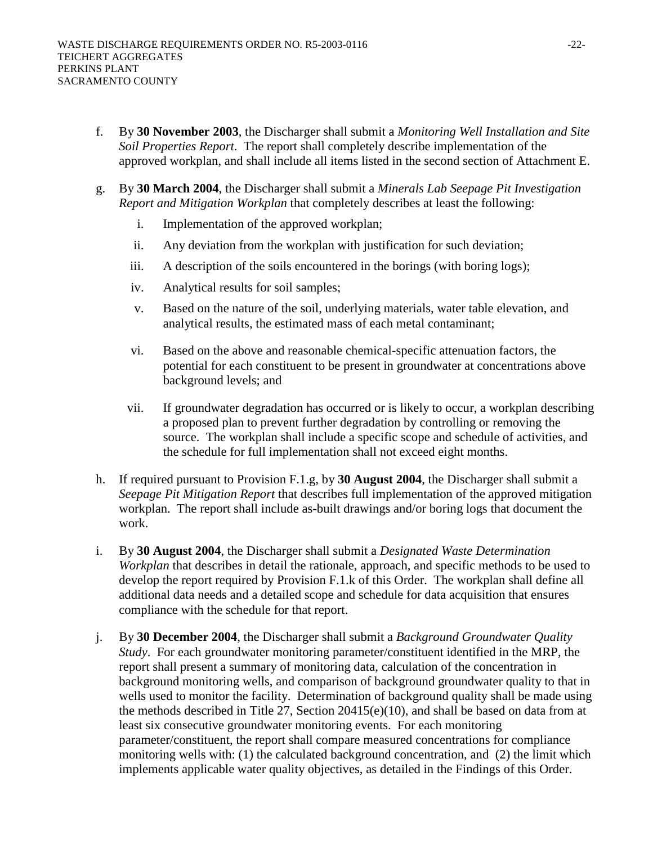- f. By **30 November 2003**, the Discharger shall submit a *Monitoring Well Installation and Site Soil Properties Report*. The report shall completely describe implementation of the approved workplan, and shall include all items listed in the second section of Attachment E.
- g. By **30 March 2004**, the Discharger shall submit a *Minerals Lab Seepage Pit Investigation Report and Mitigation Workplan* that completely describes at least the following:
	- i. Implementation of the approved workplan;
	- ii. Any deviation from the workplan with justification for such deviation;
	- iii. A description of the soils encountered in the borings (with boring logs);
	- iv. Analytical results for soil samples;
	- v. Based on the nature of the soil, underlying materials, water table elevation, and analytical results, the estimated mass of each metal contaminant;
	- vi. Based on the above and reasonable chemical-specific attenuation factors, the potential for each constituent to be present in groundwater at concentrations above background levels; and
	- vii. If groundwater degradation has occurred or is likely to occur, a workplan describing a proposed plan to prevent further degradation by controlling or removing the source. The workplan shall include a specific scope and schedule of activities, and the schedule for full implementation shall not exceed eight months.
- h. If required pursuant to Provision F.1.g, by **30 August 2004**, the Discharger shall submit a *Seepage Pit Mitigation Report* that describes full implementation of the approved mitigation workplan. The report shall include as-built drawings and/or boring logs that document the work.
- i. By **30 August 2004**, the Discharger shall submit a *Designated Waste Determination Workplan* that describes in detail the rationale, approach, and specific methods to be used to develop the report required by Provision F.1.k of this Order. The workplan shall define all additional data needs and a detailed scope and schedule for data acquisition that ensures compliance with the schedule for that report.
- j. By **30 December 2004**, the Discharger shall submit a *Background Groundwater Quality Study*. For each groundwater monitoring parameter/constituent identified in the MRP, the report shall present a summary of monitoring data, calculation of the concentration in background monitoring wells, and comparison of background groundwater quality to that in wells used to monitor the facility. Determination of background quality shall be made using the methods described in Title 27, Section 20415(e)(10), and shall be based on data from at least six consecutive groundwater monitoring events. For each monitoring parameter/constituent, the report shall compare measured concentrations for compliance monitoring wells with: (1) the calculated background concentration, and (2) the limit which implements applicable water quality objectives, as detailed in the Findings of this Order.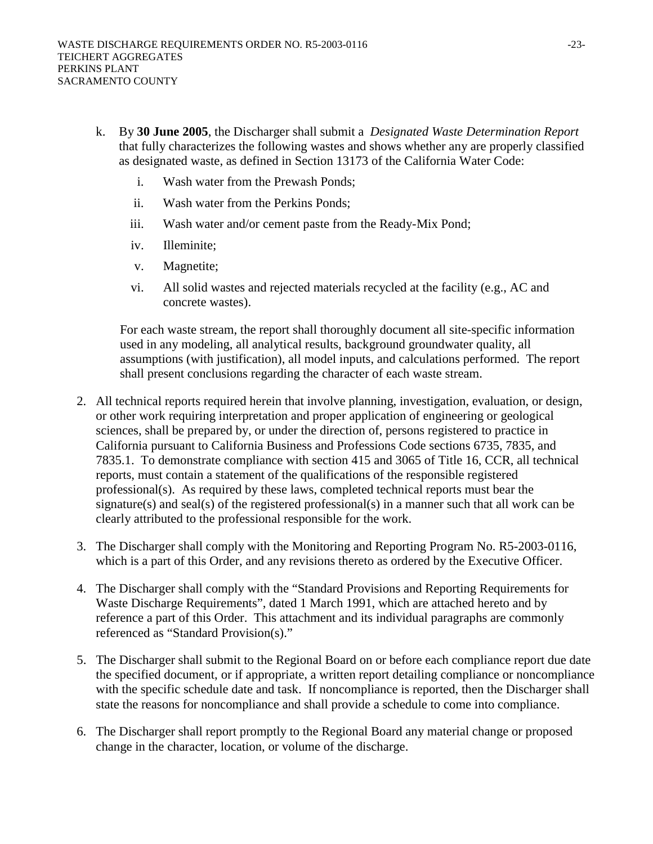- k. By **30 June 2005**, the Discharger shall submit a *Designated Waste Determination Report* that fully characterizes the following wastes and shows whether any are properly classified as designated waste, as defined in Section 13173 of the California Water Code:
	- i. Wash water from the Prewash Ponds;
	- ii. Wash water from the Perkins Ponds;
	- iii. Wash water and/or cement paste from the Ready-Mix Pond;
	- iv. Illeminite;
	- v. Magnetite;
	- vi. All solid wastes and rejected materials recycled at the facility (e.g., AC and concrete wastes).

For each waste stream, the report shall thoroughly document all site-specific information used in any modeling, all analytical results, background groundwater quality, all assumptions (with justification), all model inputs, and calculations performed. The report shall present conclusions regarding the character of each waste stream.

- 2. All technical reports required herein that involve planning, investigation, evaluation, or design, or other work requiring interpretation and proper application of engineering or geological sciences, shall be prepared by, or under the direction of, persons registered to practice in California pursuant to California Business and Professions Code sections 6735, 7835, and 7835.1. To demonstrate compliance with section 415 and 3065 of Title 16, CCR, all technical reports, must contain a statement of the qualifications of the responsible registered professional(s). As required by these laws, completed technical reports must bear the signature(s) and seal(s) of the registered professional(s) in a manner such that all work can be clearly attributed to the professional responsible for the work.
- 3. The Discharger shall comply with the Monitoring and Reporting Program No. R5-2003-0116, which is a part of this Order, and any revisions thereto as ordered by the Executive Officer.
- 4. The Discharger shall comply with the "Standard Provisions and Reporting Requirements for Waste Discharge Requirements", dated 1 March 1991, which are attached hereto and by reference a part of this Order. This attachment and its individual paragraphs are commonly referenced as "Standard Provision(s)."
- 5. The Discharger shall submit to the Regional Board on or before each compliance report due date the specified document, or if appropriate, a written report detailing compliance or noncompliance with the specific schedule date and task. If noncompliance is reported, then the Discharger shall state the reasons for noncompliance and shall provide a schedule to come into compliance.
- 6. The Discharger shall report promptly to the Regional Board any material change or proposed change in the character, location, or volume of the discharge.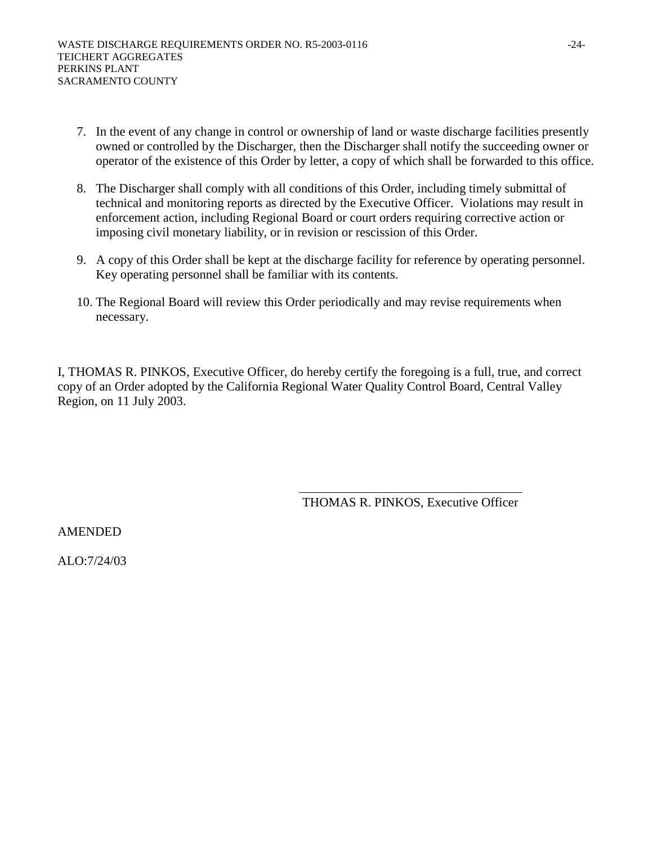- 7. In the event of any change in control or ownership of land or waste discharge facilities presently owned or controlled by the Discharger, then the Discharger shall notify the succeeding owner or operator of the existence of this Order by letter, a copy of which shall be forwarded to this office.
- 8. The Discharger shall comply with all conditions of this Order, including timely submittal of technical and monitoring reports as directed by the Executive Officer. Violations may result in enforcement action, including Regional Board or court orders requiring corrective action or imposing civil monetary liability, or in revision or rescission of this Order.
- 9. A copy of this Order shall be kept at the discharge facility for reference by operating personnel. Key operating personnel shall be familiar with its contents.
- 10. The Regional Board will review this Order periodically and may revise requirements when necessary.

I, THOMAS R. PINKOS, Executive Officer, do hereby certify the foregoing is a full, true, and correct copy of an Order adopted by the California Regional Water Quality Control Board, Central Valley Region, on 11 July 2003.

THOMAS R. PINKOS, Executive Officer

AMENDED

ALO:7/24/03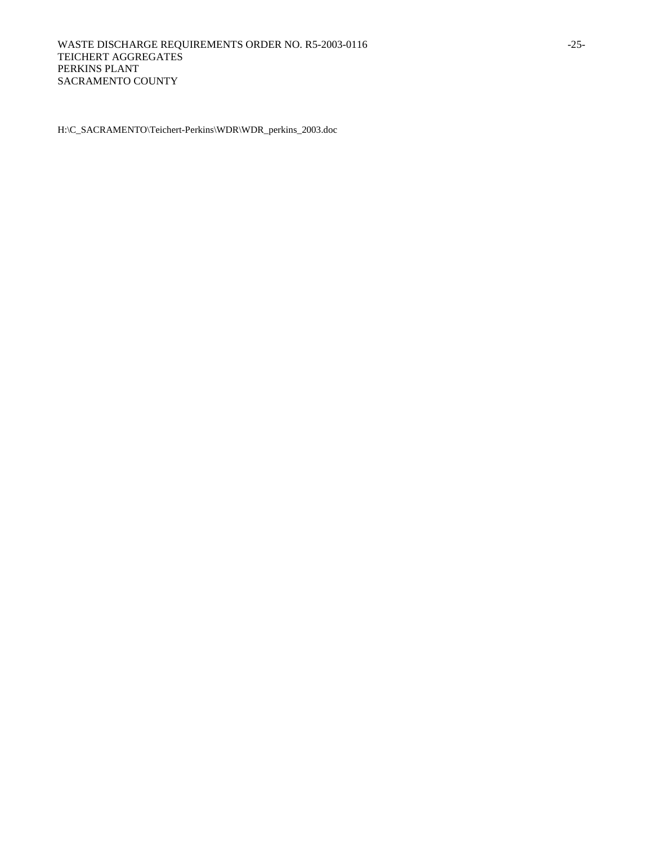H:\C\_SACRAMENTO\Teichert-Perkins\WDR\WDR\_perkins\_2003.doc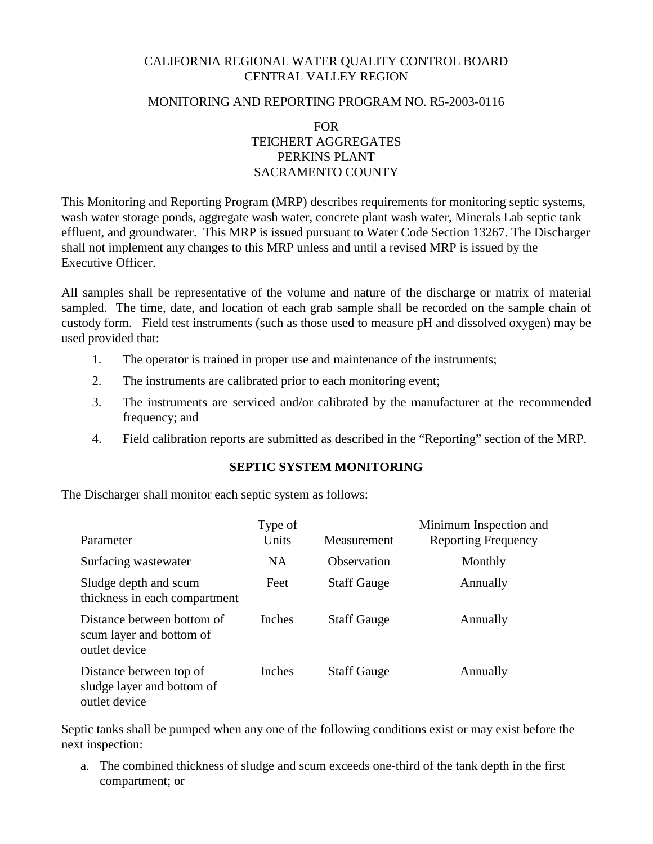# CALIFORNIA REGIONAL WATER QUALITY CONTROL BOARD CENTRAL VALLEY REGION

#### MONITORING AND REPORTING PROGRAM NO. R5-2003-0116

FOR TEICHERT AGGREGATES PERKINS PLANT SACRAMENTO COUNTY

This Monitoring and Reporting Program (MRP) describes requirements for monitoring septic systems, wash water storage ponds, aggregate wash water, concrete plant wash water, Minerals Lab septic tank effluent, and groundwater. This MRP is issued pursuant to Water Code Section 13267. The Discharger shall not implement any changes to this MRP unless and until a revised MRP is issued by the Executive Officer.

All samples shall be representative of the volume and nature of the discharge or matrix of material sampled. The time, date, and location of each grab sample shall be recorded on the sample chain of custody form. Field test instruments (such as those used to measure pH and dissolved oxygen) may be used provided that:

- 1. The operator is trained in proper use and maintenance of the instruments;
- 2. The instruments are calibrated prior to each monitoring event;
- 3. The instruments are serviced and/or calibrated by the manufacturer at the recommended frequency; and
- 4. Field calibration reports are submitted as described in the "Reporting" section of the MRP.

## **SEPTIC SYSTEM MONITORING**

The Discharger shall monitor each septic system as follows:

| Parameter                                                               | Type of<br>Units | Measurement        | Minimum Inspection and<br><b>Reporting Frequency</b> |
|-------------------------------------------------------------------------|------------------|--------------------|------------------------------------------------------|
| Surfacing wastewater                                                    | <b>NA</b>        | Observation        | Monthly                                              |
| Sludge depth and scum<br>thickness in each compartment                  | Feet             | <b>Staff Gauge</b> | Annually                                             |
| Distance between bottom of<br>scum layer and bottom of<br>outlet device | <b>Inches</b>    | <b>Staff Gauge</b> | Annually                                             |
| Distance between top of<br>sludge layer and bottom of<br>outlet device  | <b>Inches</b>    | <b>Staff Gauge</b> | Annually                                             |

Septic tanks shall be pumped when any one of the following conditions exist or may exist before the next inspection:

a. The combined thickness of sludge and scum exceeds one-third of the tank depth in the first compartment; or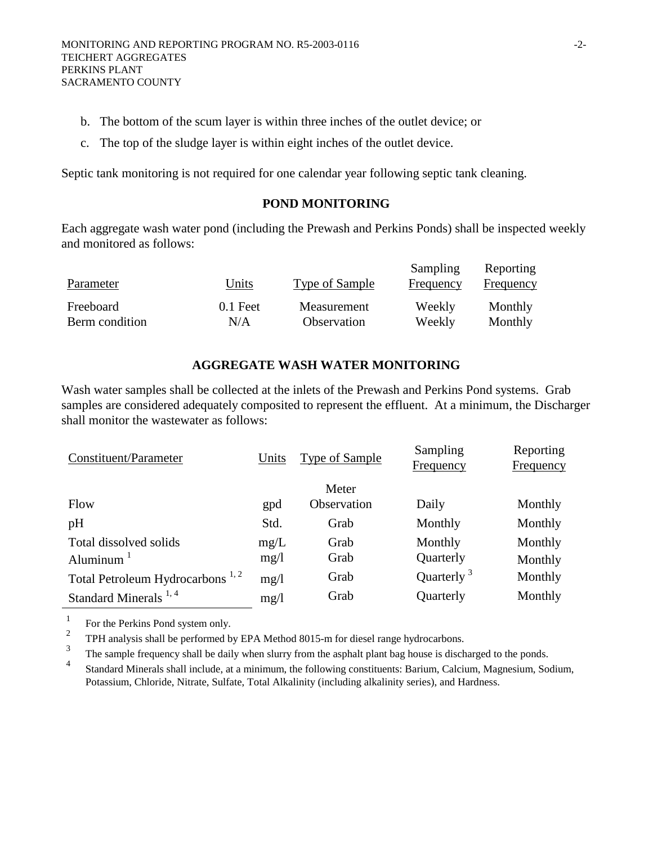- b. The bottom of the scum layer is within three inches of the outlet device; or
- c. The top of the sludge layer is within eight inches of the outlet device.

Septic tank monitoring is not required for one calendar year following septic tank cleaning.

#### **POND MONITORING**

Each aggregate wash water pond (including the Prewash and Perkins Ponds) shall be inspected weekly and monitored as follows:

| Parameter      | Units      | Type of Sample | Sampling<br>Frequency | Reporting<br><b>Frequency</b> |
|----------------|------------|----------------|-----------------------|-------------------------------|
| Freeboard      | $0.1$ Feet | Measurement    | Weekly                | Monthly                       |
| Berm condition | N/A        | Observation    | Weekly                | Monthly                       |

## **AGGREGATE WASH WATER MONITORING**

Wash water samples shall be collected at the inlets of the Prewash and Perkins Pond systems. Grab samples are considered adequately composited to represent the effluent. At a minimum, the Discharger shall monitor the wastewater as follows:

| Meter                                                                                   |  |
|-----------------------------------------------------------------------------------------|--|
| Observation<br>Daily<br>Flow<br>Monthly<br>gpd                                          |  |
| Std.<br>pH<br>Monthly<br>Monthly<br>Grab                                                |  |
| Total dissolved solids<br>Monthly<br>Monthly<br>Grab<br>mg/L                            |  |
| Grab<br>Quarterly<br>mg/1<br>Aluminum $1$<br>Monthly                                    |  |
| Quarterly $3$<br>Total Petroleum Hydrocarbons <sup>1,2</sup><br>Grab<br>Monthly<br>mg/1 |  |
| Standard Minerals <sup>1,4</sup><br>Grab<br>Monthly<br>Quarterly<br>mg/1                |  |

<sup>1</sup> For the Perkins Pond system only.

<sup>2</sup> TPH analysis shall be performed by EPA Method 8015-m for diesel range hydrocarbons.

 $\frac{3}{4}$  The sample frequency shall be daily when slurry from the asphalt plant bag house is discharged to the ponds.

4 Standard Minerals shall include, at a minimum, the following constituents: Barium, Calcium, Magnesium, Sodium, Potassium, Chloride, Nitrate, Sulfate, Total Alkalinity (including alkalinity series), and Hardness.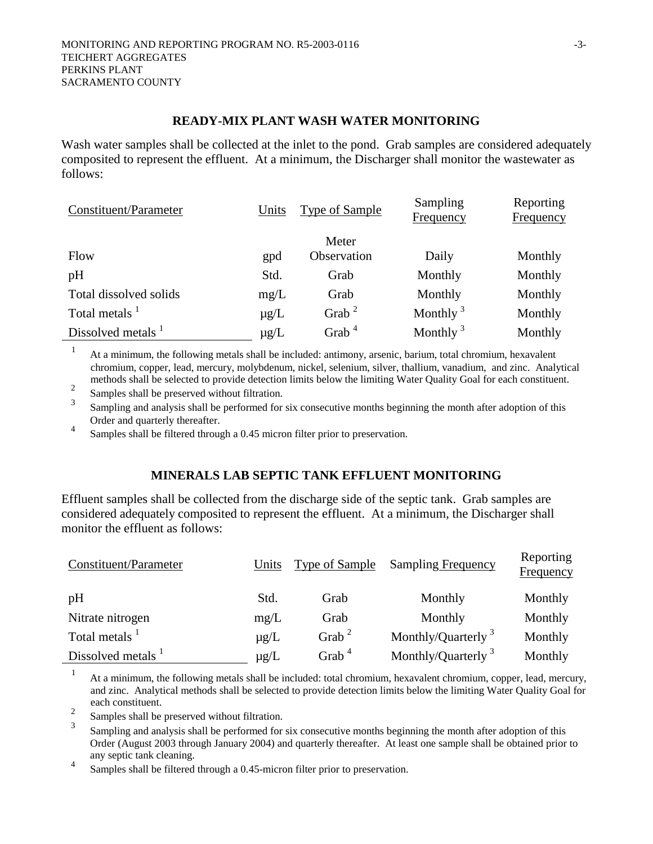#### **READY-MIX PLANT WASH WATER MONITORING**

Wash water samples shall be collected at the inlet to the pond. Grab samples are considered adequately composited to represent the effluent. At a minimum, the Discharger shall monitor the wastewater as follows:

| Constituent/Parameter         | Units     | <b>Type of Sample</b> | Sampling<br><b>Frequency</b> | Reporting<br><b>Frequency</b> |
|-------------------------------|-----------|-----------------------|------------------------------|-------------------------------|
|                               |           | Meter                 |                              |                               |
| Flow                          | gpd       | Observation           | Daily                        | Monthly                       |
| pH                            | Std.      | Grab                  | Monthly                      | Monthly                       |
| Total dissolved solids        | mg/L      | Grab                  | Monthly                      | Monthly                       |
| Total metals <sup>1</sup>     | $\mu$ g/L | Grab <sup>2</sup>     | Monthly $3$                  | Monthly                       |
| Dissolved metals <sup>1</sup> | $\mu$ g/L | Grab <sup>4</sup>     | Monthly $3$                  | Monthly                       |

1 At a minimum, the following metals shall be included: antimony, arsenic, barium, total chromium, hexavalent chromium, copper, lead, mercury, molybdenum, nickel, selenium, silver, thallium, vanadium, and zinc. Analytical methods shall be selected to provide detection limits below the limiting Water Quality Goal for each constituent.

2 Samples shall be preserved without filtration.

3 Sampling and analysis shall be performed for six consecutive months beginning the month after adoption of this Order and quarterly thereafter.

4 Samples shall be filtered through a 0.45 micron filter prior to preservation.

# **MINERALS LAB SEPTIC TANK EFFLUENT MONITORING**

Effluent samples shall be collected from the discharge side of the septic tank. Grab samples are considered adequately composited to represent the effluent. At a minimum, the Discharger shall monitor the effluent as follows:

| Constituent/Parameter         | Units     | Type of Sample    | <b>Sampling Frequency</b>      | Reporting<br><b>Frequency</b> |
|-------------------------------|-----------|-------------------|--------------------------------|-------------------------------|
| pH                            | Std.      | Grab              | Monthly                        | Monthly                       |
| Nitrate nitrogen              | mg/L      | Grab              | Monthly                        | Monthly                       |
| Total metals <sup>1</sup>     | $\mu$ g/L | Grab <sup>2</sup> | Monthly/Quarterly <sup>3</sup> | Monthly                       |
| Dissolved metals <sup>1</sup> | $\mu$ g/L | Grab <sup>4</sup> | Monthly/Quarterly $3$          | Monthly                       |

1 At a minimum, the following metals shall be included: total chromium, hexavalent chromium, copper, lead, mercury, and zinc. Analytical methods shall be selected to provide detection limits below the limiting Water Quality Goal for each constituent.

2 Samples shall be preserved without filtration.

3 Sampling and analysis shall be performed for six consecutive months beginning the month after adoption of this Order (August 2003 through January 2004) and quarterly thereafter. At least one sample shall be obtained prior to any septic tank cleaning.

4 Samples shall be filtered through a 0.45-micron filter prior to preservation.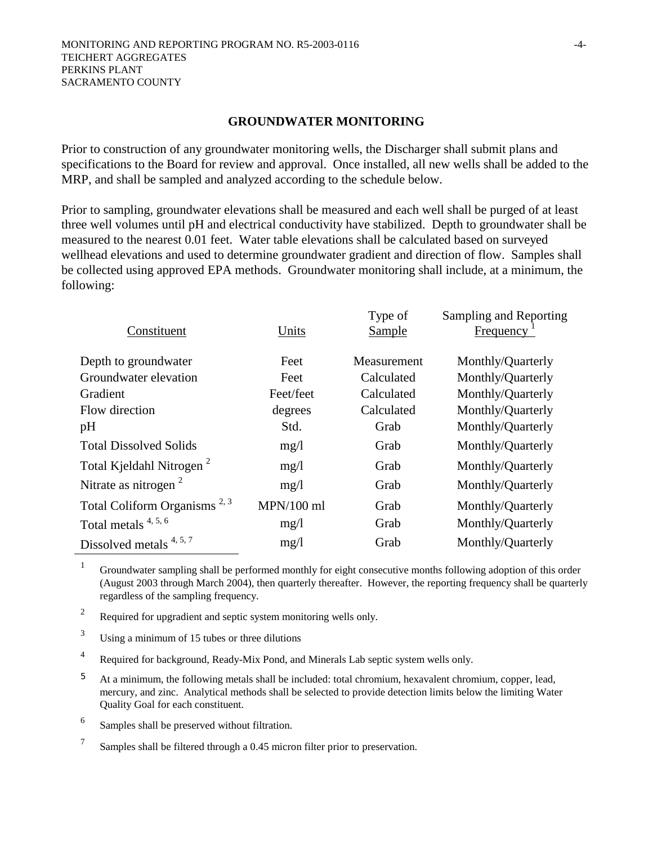#### **GROUNDWATER MONITORING**

Prior to construction of any groundwater monitoring wells, the Discharger shall submit plans and specifications to the Board for review and approval. Once installed, all new wells shall be added to the MRP, and shall be sampled and analyzed according to the schedule below.

Prior to sampling, groundwater elevations shall be measured and each well shall be purged of at least three well volumes until pH and electrical conductivity have stabilized. Depth to groundwater shall be measured to the nearest 0.01 feet. Water table elevations shall be calculated based on surveyed wellhead elevations and used to determine groundwater gradient and direction of flow. Samples shall be collected using approved EPA methods. Groundwater monitoring shall include, at a minimum, the following:

|              | Type of     | Sampling and Reporting |
|--------------|-------------|------------------------|
|              |             | Frequency              |
| Feet         | Measurement | Monthly/Quarterly      |
| Feet         | Calculated  | Monthly/Quarterly      |
| Feet/feet    | Calculated  | Monthly/Quarterly      |
| degrees      | Calculated  | Monthly/Quarterly      |
| Std.         | Grab        | Monthly/Quarterly      |
| mg/1         | Grab        | Monthly/Quarterly      |
| mg/1         | Grab        | Monthly/Quarterly      |
| mg/1         | Grab        | Monthly/Quarterly      |
| $MPN/100$ ml | Grab        | Monthly/Quarterly      |
| mg/1         | Grab        | Monthly/Quarterly      |
| mg/1         | Grab        | Monthly/Quarterly      |
|              | Units       | <b>Sample</b>          |

1 Groundwater sampling shall be performed monthly for eight consecutive months following adoption of this order (August 2003 through March 2004), then quarterly thereafter. However, the reporting frequency shall be quarterly regardless of the sampling frequency.

<sup>2</sup> Required for upgradient and septic system monitoring wells only.

3 Using a minimum of 15 tubes or three dilutions

4 Required for background, Ready-Mix Pond, and Minerals Lab septic system wells only.

<sup>5</sup> At a minimum, the following metals shall be included: total chromium, hexavalent chromium, copper, lead, mercury, and zinc. Analytical methods shall be selected to provide detection limits below the limiting Water Quality Goal for each constituent.

6 Samples shall be preserved without filtration.

7 Samples shall be filtered through a 0.45 micron filter prior to preservation.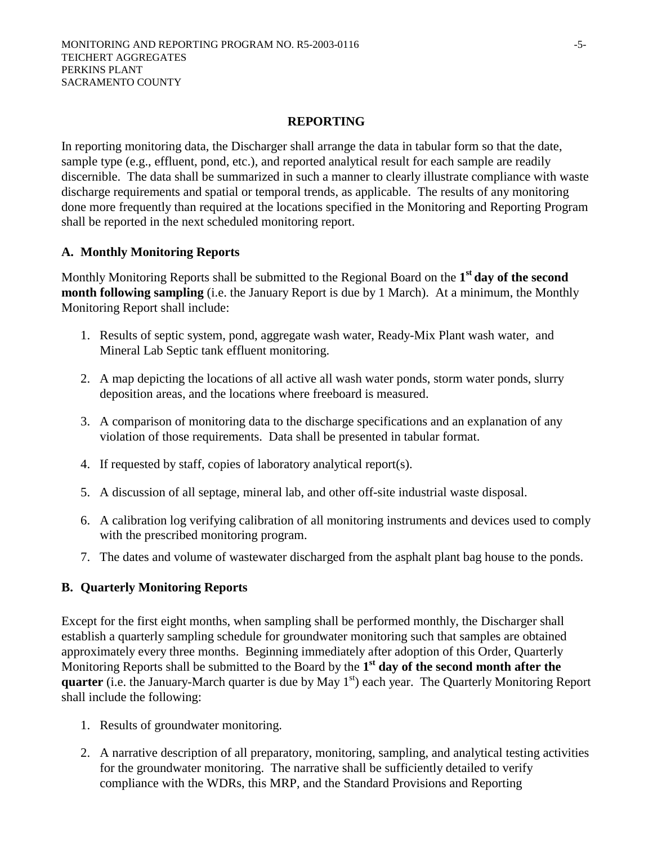#### **REPORTING**

In reporting monitoring data, the Discharger shall arrange the data in tabular form so that the date, sample type (e.g., effluent, pond, etc.), and reported analytical result for each sample are readily discernible. The data shall be summarized in such a manner to clearly illustrate compliance with waste discharge requirements and spatial or temporal trends, as applicable. The results of any monitoring done more frequently than required at the locations specified in the Monitoring and Reporting Program shall be reported in the next scheduled monitoring report.

# **A. Monthly Monitoring Reports**

Monthly Monitoring Reports shall be submitted to the Regional Board on the **1st day of the second month following sampling** (i.e. the January Report is due by 1 March). At a minimum, the Monthly Monitoring Report shall include:

- 1. Results of septic system, pond, aggregate wash water, Ready-Mix Plant wash water, and Mineral Lab Septic tank effluent monitoring.
- 2. A map depicting the locations of all active all wash water ponds, storm water ponds, slurry deposition areas, and the locations where freeboard is measured.
- 3. A comparison of monitoring data to the discharge specifications and an explanation of any violation of those requirements. Data shall be presented in tabular format.
- 4. If requested by staff, copies of laboratory analytical report(s).
- 5. A discussion of all septage, mineral lab, and other off-site industrial waste disposal.
- 6. A calibration log verifying calibration of all monitoring instruments and devices used to comply with the prescribed monitoring program.
- 7. The dates and volume of wastewater discharged from the asphalt plant bag house to the ponds.

# **B. Quarterly Monitoring Reports**

Except for the first eight months, when sampling shall be performed monthly, the Discharger shall establish a quarterly sampling schedule for groundwater monitoring such that samples are obtained approximately every three months. Beginning immediately after adoption of this Order, Quarterly Monitoring Reports shall be submitted to the Board by the **1st day of the second month after the quarter** (i.e. the January-March quarter is due by May 1<sup>st</sup>) each year. The Quarterly Monitoring Report shall include the following:

- 1. Results of groundwater monitoring.
- 2. A narrative description of all preparatory, monitoring, sampling, and analytical testing activities for the groundwater monitoring. The narrative shall be sufficiently detailed to verify compliance with the WDRs, this MRP, and the Standard Provisions and Reporting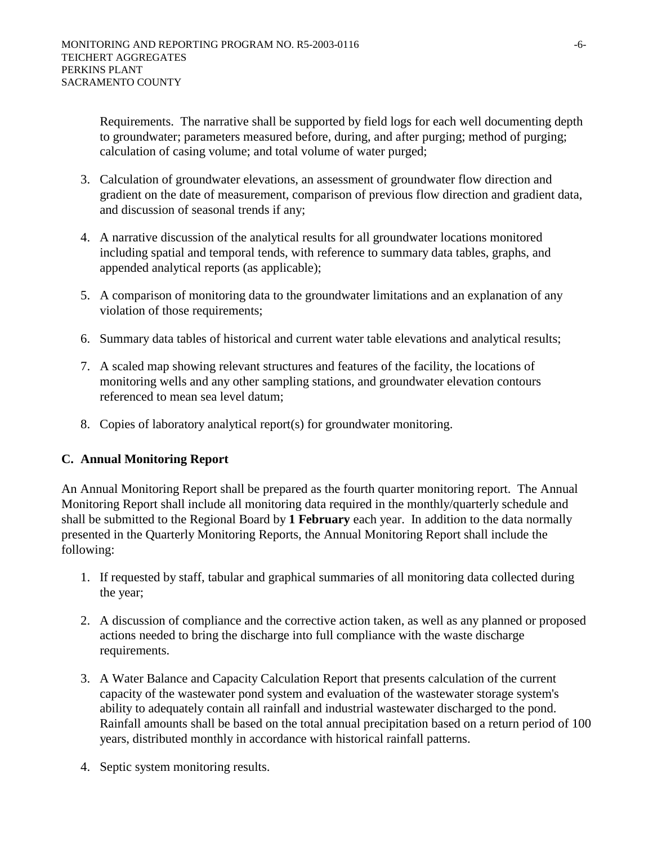Requirements. The narrative shall be supported by field logs for each well documenting depth to groundwater; parameters measured before, during, and after purging; method of purging; calculation of casing volume; and total volume of water purged;

- 3. Calculation of groundwater elevations, an assessment of groundwater flow direction and gradient on the date of measurement, comparison of previous flow direction and gradient data, and discussion of seasonal trends if any;
- 4. A narrative discussion of the analytical results for all groundwater locations monitored including spatial and temporal tends, with reference to summary data tables, graphs, and appended analytical reports (as applicable);
- 5. A comparison of monitoring data to the groundwater limitations and an explanation of any violation of those requirements;
- 6. Summary data tables of historical and current water table elevations and analytical results;
- 7. A scaled map showing relevant structures and features of the facility, the locations of monitoring wells and any other sampling stations, and groundwater elevation contours referenced to mean sea level datum;
- 8. Copies of laboratory analytical report(s) for groundwater monitoring.

# **C. Annual Monitoring Report**

An Annual Monitoring Report shall be prepared as the fourth quarter monitoring report. The Annual Monitoring Report shall include all monitoring data required in the monthly/quarterly schedule and shall be submitted to the Regional Board by **1 February** each year. In addition to the data normally presented in the Quarterly Monitoring Reports, the Annual Monitoring Report shall include the following:

- 1. If requested by staff, tabular and graphical summaries of all monitoring data collected during the year;
- 2. A discussion of compliance and the corrective action taken, as well as any planned or proposed actions needed to bring the discharge into full compliance with the waste discharge requirements.
- 3. A Water Balance and Capacity Calculation Report that presents calculation of the current capacity of the wastewater pond system and evaluation of the wastewater storage system's ability to adequately contain all rainfall and industrial wastewater discharged to the pond. Rainfall amounts shall be based on the total annual precipitation based on a return period of 100 years, distributed monthly in accordance with historical rainfall patterns.
- 4. Septic system monitoring results.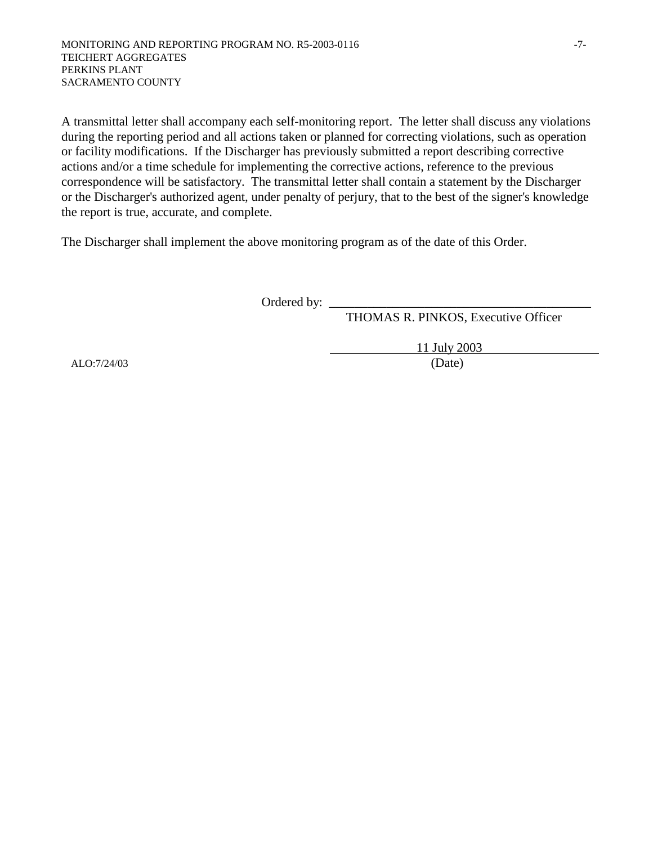A transmittal letter shall accompany each self-monitoring report. The letter shall discuss any violations during the reporting period and all actions taken or planned for correcting violations, such as operation or facility modifications. If the Discharger has previously submitted a report describing corrective actions and/or a time schedule for implementing the corrective actions, reference to the previous correspondence will be satisfactory. The transmittal letter shall contain a statement by the Discharger or the Discharger's authorized agent, under penalty of perjury, that to the best of the signer's knowledge the report is true, accurate, and complete.

The Discharger shall implement the above monitoring program as of the date of this Order.

Ordered by:  $\Box$ 

THOMAS R. PINKOS, Executive Officer

 11 July 2003 ALO:7/24/03 (Date)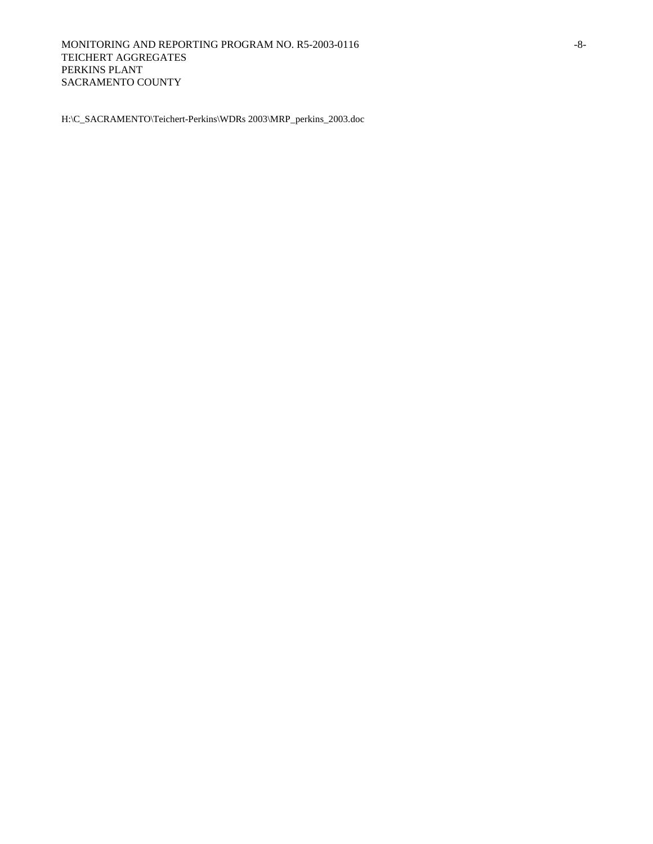H:\C\_SACRAMENTO\Teichert-Perkins\WDRs 2003\MRP\_perkins\_2003.doc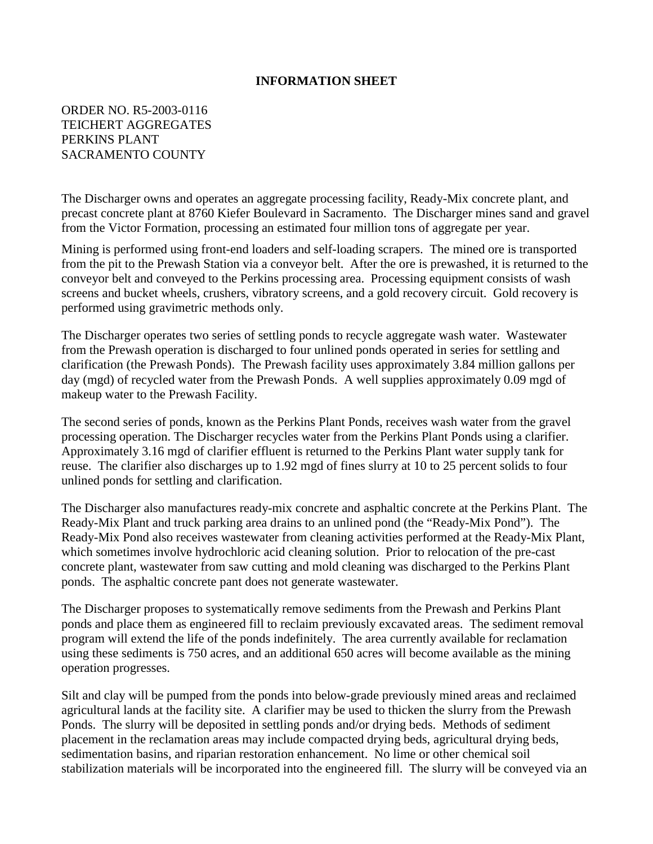#### **INFORMATION SHEET**

ORDER NO. R5-2003-0116 TEICHERT AGGREGATES PERKINS PLANT SACRAMENTO COUNTY

The Discharger owns and operates an aggregate processing facility, Ready-Mix concrete plant, and precast concrete plant at 8760 Kiefer Boulevard in Sacramento. The Discharger mines sand and gravel from the Victor Formation, processing an estimated four million tons of aggregate per year.

Mining is performed using front-end loaders and self-loading scrapers. The mined ore is transported from the pit to the Prewash Station via a conveyor belt. After the ore is prewashed, it is returned to the conveyor belt and conveyed to the Perkins processing area. Processing equipment consists of wash screens and bucket wheels, crushers, vibratory screens, and a gold recovery circuit. Gold recovery is performed using gravimetric methods only.

The Discharger operates two series of settling ponds to recycle aggregate wash water. Wastewater from the Prewash operation is discharged to four unlined ponds operated in series for settling and clarification (the Prewash Ponds). The Prewash facility uses approximately 3.84 million gallons per day (mgd) of recycled water from the Prewash Ponds. A well supplies approximately 0.09 mgd of makeup water to the Prewash Facility.

The second series of ponds, known as the Perkins Plant Ponds, receives wash water from the gravel processing operation. The Discharger recycles water from the Perkins Plant Ponds using a clarifier. Approximately 3.16 mgd of clarifier effluent is returned to the Perkins Plant water supply tank for reuse. The clarifier also discharges up to 1.92 mgd of fines slurry at 10 to 25 percent solids to four unlined ponds for settling and clarification.

The Discharger also manufactures ready-mix concrete and asphaltic concrete at the Perkins Plant. The Ready-Mix Plant and truck parking area drains to an unlined pond (the "Ready-Mix Pond"). The Ready-Mix Pond also receives wastewater from cleaning activities performed at the Ready-Mix Plant, which sometimes involve hydrochloric acid cleaning solution. Prior to relocation of the pre-cast concrete plant, wastewater from saw cutting and mold cleaning was discharged to the Perkins Plant ponds. The asphaltic concrete pant does not generate wastewater.

The Discharger proposes to systematically remove sediments from the Prewash and Perkins Plant ponds and place them as engineered fill to reclaim previously excavated areas. The sediment removal program will extend the life of the ponds indefinitely. The area currently available for reclamation using these sediments is 750 acres, and an additional 650 acres will become available as the mining operation progresses.

Silt and clay will be pumped from the ponds into below-grade previously mined areas and reclaimed agricultural lands at the facility site. A clarifier may be used to thicken the slurry from the Prewash Ponds. The slurry will be deposited in settling ponds and/or drying beds. Methods of sediment placement in the reclamation areas may include compacted drying beds, agricultural drying beds, sedimentation basins, and riparian restoration enhancement. No lime or other chemical soil stabilization materials will be incorporated into the engineered fill. The slurry will be conveyed via an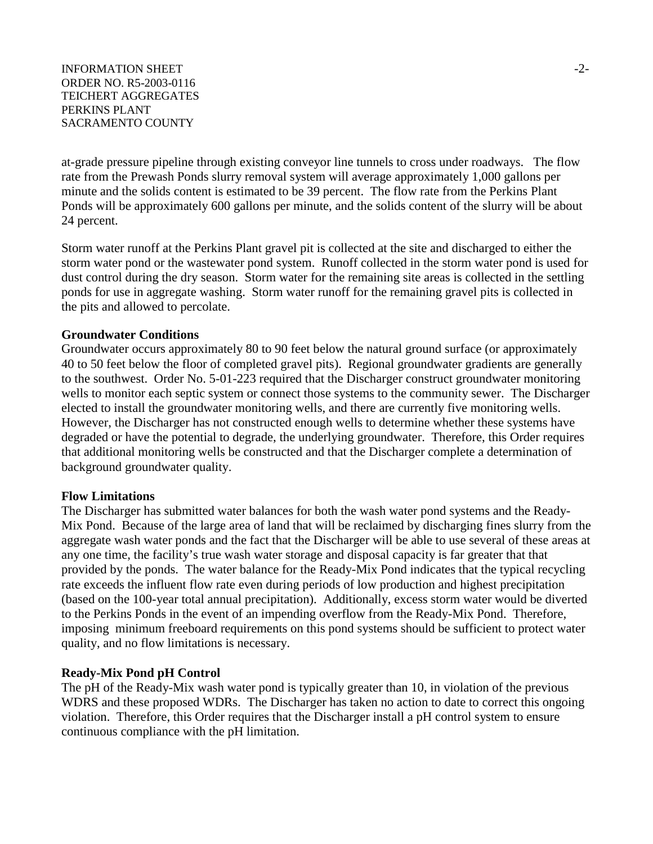#### INFORMATION SHEET  $\sim$ ORDER NO. R5-2003-0116 TEICHERT AGGREGATES PERKINS PLANT SACRAMENTO COUNTY

at-grade pressure pipeline through existing conveyor line tunnels to cross under roadways. The flow rate from the Prewash Ponds slurry removal system will average approximately 1,000 gallons per minute and the solids content is estimated to be 39 percent. The flow rate from the Perkins Plant Ponds will be approximately 600 gallons per minute, and the solids content of the slurry will be about 24 percent.

Storm water runoff at the Perkins Plant gravel pit is collected at the site and discharged to either the storm water pond or the wastewater pond system. Runoff collected in the storm water pond is used for dust control during the dry season. Storm water for the remaining site areas is collected in the settling ponds for use in aggregate washing. Storm water runoff for the remaining gravel pits is collected in the pits and allowed to percolate.

## **Groundwater Conditions**

Groundwater occurs approximately 80 to 90 feet below the natural ground surface (or approximately 40 to 50 feet below the floor of completed gravel pits). Regional groundwater gradients are generally to the southwest. Order No. 5-01-223 required that the Discharger construct groundwater monitoring wells to monitor each septic system or connect those systems to the community sewer. The Discharger elected to install the groundwater monitoring wells, and there are currently five monitoring wells. However, the Discharger has not constructed enough wells to determine whether these systems have degraded or have the potential to degrade, the underlying groundwater. Therefore, this Order requires that additional monitoring wells be constructed and that the Discharger complete a determination of background groundwater quality.

#### **Flow Limitations**

The Discharger has submitted water balances for both the wash water pond systems and the Ready-Mix Pond. Because of the large area of land that will be reclaimed by discharging fines slurry from the aggregate wash water ponds and the fact that the Discharger will be able to use several of these areas at any one time, the facility's true wash water storage and disposal capacity is far greater that that provided by the ponds. The water balance for the Ready-Mix Pond indicates that the typical recycling rate exceeds the influent flow rate even during periods of low production and highest precipitation (based on the 100-year total annual precipitation). Additionally, excess storm water would be diverted to the Perkins Ponds in the event of an impending overflow from the Ready-Mix Pond. Therefore, imposing minimum freeboard requirements on this pond systems should be sufficient to protect water quality, and no flow limitations is necessary.

## **Ready-Mix Pond pH Control**

The pH of the Ready-Mix wash water pond is typically greater than 10, in violation of the previous WDRS and these proposed WDRs. The Discharger has taken no action to date to correct this ongoing violation. Therefore, this Order requires that the Discharger install a pH control system to ensure continuous compliance with the pH limitation.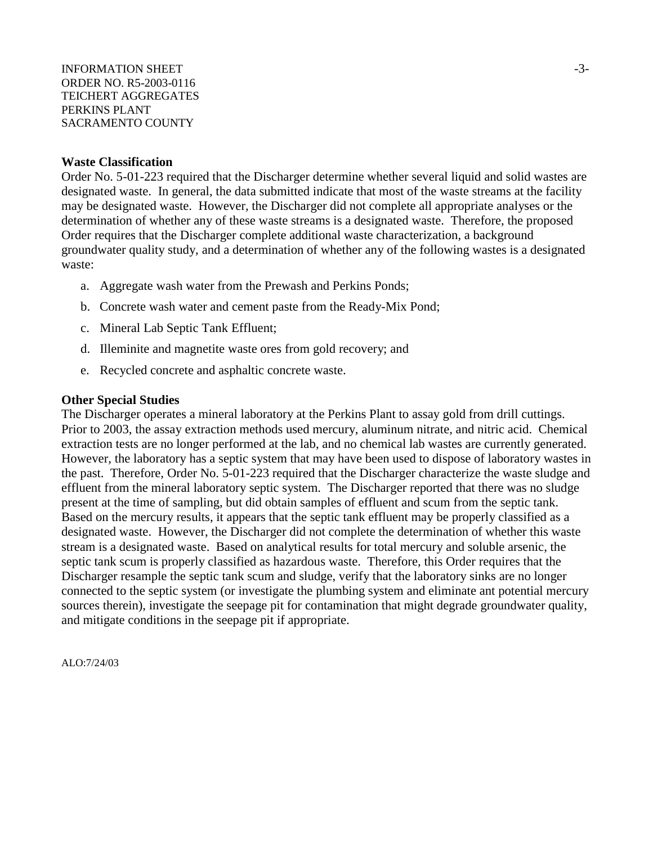INFORMATION SHEET  $\sim$ ORDER NO. R5-2003-0116 TEICHERT AGGREGATES PERKINS PLANT SACRAMENTO COUNTY

#### **Waste Classification**

Order No. 5-01-223 required that the Discharger determine whether several liquid and solid wastes are designated waste. In general, the data submitted indicate that most of the waste streams at the facility may be designated waste. However, the Discharger did not complete all appropriate analyses or the determination of whether any of these waste streams is a designated waste. Therefore, the proposed Order requires that the Discharger complete additional waste characterization, a background groundwater quality study, and a determination of whether any of the following wastes is a designated waste:

- a. Aggregate wash water from the Prewash and Perkins Ponds;
- b. Concrete wash water and cement paste from the Ready-Mix Pond;
- c. Mineral Lab Septic Tank Effluent;
- d. Illeminite and magnetite waste ores from gold recovery; and
- e. Recycled concrete and asphaltic concrete waste.

#### **Other Special Studies**

The Discharger operates a mineral laboratory at the Perkins Plant to assay gold from drill cuttings. Prior to 2003, the assay extraction methods used mercury, aluminum nitrate, and nitric acid. Chemical extraction tests are no longer performed at the lab, and no chemical lab wastes are currently generated. However, the laboratory has a septic system that may have been used to dispose of laboratory wastes in the past. Therefore, Order No. 5-01-223 required that the Discharger characterize the waste sludge and effluent from the mineral laboratory septic system. The Discharger reported that there was no sludge present at the time of sampling, but did obtain samples of effluent and scum from the septic tank. Based on the mercury results, it appears that the septic tank effluent may be properly classified as a designated waste. However, the Discharger did not complete the determination of whether this waste stream is a designated waste. Based on analytical results for total mercury and soluble arsenic, the septic tank scum is properly classified as hazardous waste. Therefore, this Order requires that the Discharger resample the septic tank scum and sludge, verify that the laboratory sinks are no longer connected to the septic system (or investigate the plumbing system and eliminate ant potential mercury sources therein), investigate the seepage pit for contamination that might degrade groundwater quality, and mitigate conditions in the seepage pit if appropriate.

ALO:7/24/03